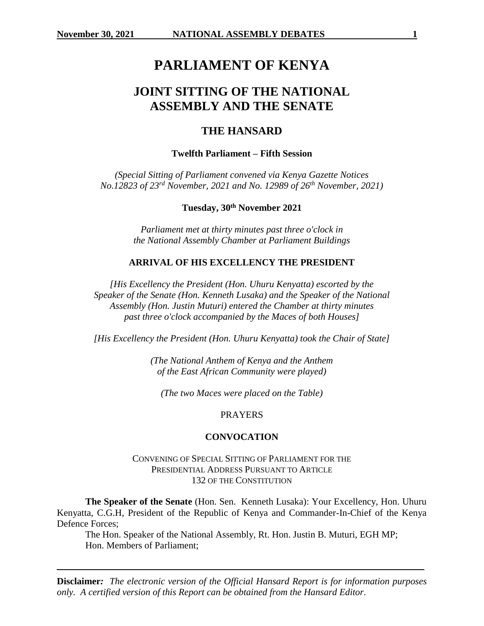# **PARLIAMENT OF KENYA**

# **JOINT SITTING OF THE NATIONAL ASSEMBLY AND THE SENATE**

# **THE HANSARD**

# **Twelfth Parliament – Fifth Session**

*(Special Sitting of Parliament convened via Kenya Gazette Notices No.12823 of 23rd November, 2021 and No. 12989 of 26th November, 2021)*

**Tuesday, 30th November 2021**

*Parliament met at thirty minutes past three o'clock in the National Assembly Chamber at Parliament Buildings*

#### **ARRIVAL OF HIS EXCELLENCY THE PRESIDENT**

*[His Excellency the President (Hon. Uhuru Kenyatta) escorted by the Speaker of the Senate (Hon. Kenneth Lusaka) and the Speaker of the National Assembly (Hon. Justin Muturi) entered the Chamber at thirty minutes past three o'clock accompanied by the Maces of both Houses]*

*[His Excellency the President (Hon. Uhuru Kenyatta) took the Chair of State]*

*(The National Anthem of Kenya and the Anthem of the East African Community were played)*

*(The two Maces were placed on the Table)*

#### PRAYERS

#### **CONVOCATION**

# CONVENING OF SPECIAL SITTING OF PARLIAMENT FOR THE PRESIDENTIAL ADDRESS PURSUANT TO ARTICLE 132 OF THE CONSTITUTION

**The Speaker of the Senate** (Hon. Sen. Kenneth Lusaka): Your Excellency, Hon. Uhuru Kenyatta, C.G.H, President of the Republic of Kenya and Commander-In-Chief of the Kenya Defence Forces;

The Hon. Speaker of the National Assembly, Rt. Hon. Justin B. Muturi, EGH MP; Hon. Members of Parliament;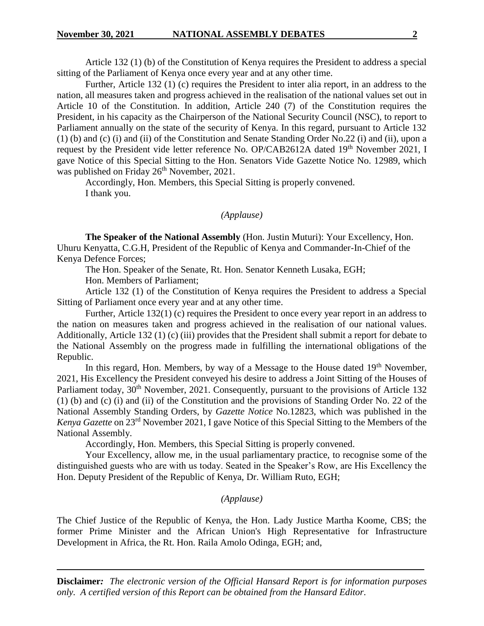Article 132 (1) (b) of the Constitution of Kenya requires the President to address a special sitting of the Parliament of Kenya once every year and at any other time.

Further, Article 132 (1) (c) requires the President to inter alia report, in an address to the nation, all measures taken and progress achieved in the realisation of the national values set out in Article 10 of the Constitution. In addition, Article 240 (7) of the Constitution requires the President, in his capacity as the Chairperson of the National Security Council (NSC), to report to Parliament annually on the state of the security of Kenya. In this regard, pursuant to Article 132 (1) (b) and (c) (i) and (ii) of the Constitution and Senate Standing Order No.22 (i) and (ii), upon a request by the President vide letter reference No. OP/CAB2612A dated 19<sup>th</sup> November 2021, I gave Notice of this Special Sitting to the Hon. Senators Vide Gazette Notice No. 12989, which was published on Friday 26<sup>th</sup> November, 2021.

Accordingly, Hon. Members, this Special Sitting is properly convened. I thank you.

# *(Applause)*

**The Speaker of the National Assembly** (Hon. Justin Muturi): Your Excellency, Hon. Uhuru Kenyatta, C.G.H, President of the Republic of Kenya and Commander-In-Chief of the Kenya Defence Forces;

The Hon. Speaker of the Senate, Rt. Hon. Senator Kenneth Lusaka, EGH;

Hon. Members of Parliament;

Article 132 (1) of the Constitution of Kenya requires the President to address a Special Sitting of Parliament once every year and at any other time.

Further, Article 132(1) (c) requires the President to once every year report in an address to the nation on measures taken and progress achieved in the realisation of our national values. Additionally, Article 132 (1) (c) (iii) provides that the President shall submit a report for debate to the National Assembly on the progress made in fulfilling the international obligations of the Republic.

In this regard, Hon. Members, by way of a Message to the House dated  $19<sup>th</sup>$  November, 2021, His Excellency the President conveyed his desire to address a Joint Sitting of the Houses of Parliament today,  $30<sup>th</sup>$  November, 2021. Consequently, pursuant to the provisions of Article 132 (1) (b) and (c) (i) and (ii) of the Constitution and the provisions of Standing Order No. 22 of the National Assembly Standing Orders, by *Gazette Notice* No.12823, which was published in the *Kenya Gazette* on 23rd November 2021, I gave Notice of this Special Sitting to the Members of the National Assembly.

Accordingly, Hon. Members, this Special Sitting is properly convened.

Your Excellency, allow me, in the usual parliamentary practice, to recognise some of the distinguished guests who are with us today. Seated in the Speaker's Row, are His Excellency the Hon. Deputy President of the Republic of Kenya, Dr. William Ruto, EGH;

# *(Applause)*

The Chief Justice of the Republic of Kenya, the Hon. Lady Justice Martha Koome, CBS; the former Prime Minister and the African Union's High Representative for Infrastructure Development in Africa, the Rt. Hon. Raila Amolo Odinga, EGH; and,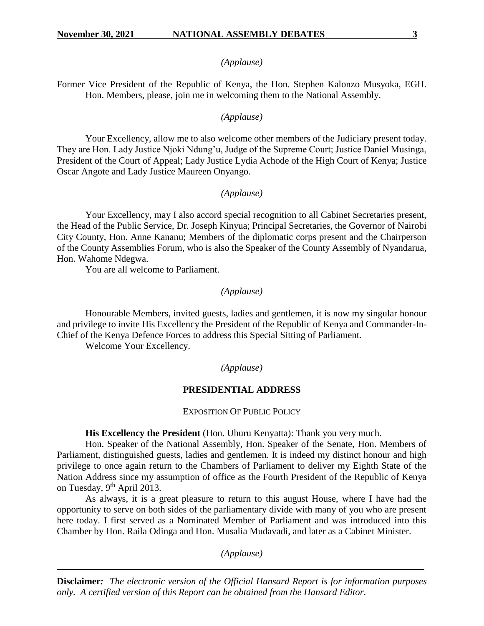# *(Applause)*

Former Vice President of the Republic of Kenya, the Hon. Stephen Kalonzo Musyoka, EGH. Hon. Members, please, join me in welcoming them to the National Assembly.

#### *(Applause)*

Your Excellency, allow me to also welcome other members of the Judiciary present today. They are Hon. Lady Justice Njoki Ndung'u, Judge of the Supreme Court; Justice Daniel Musinga, President of the Court of Appeal; Lady Justice Lydia Achode of the High Court of Kenya; Justice Oscar Angote and Lady Justice Maureen Onyango.

# *(Applause)*

Your Excellency, may I also accord special recognition to all Cabinet Secretaries present, the Head of the Public Service, Dr. Joseph Kinyua; Principal Secretaries, the Governor of Nairobi City County, Hon. Anne Kananu; Members of the diplomatic corps present and the Chairperson of the County Assemblies Forum, who is also the Speaker of the County Assembly of Nyandarua, Hon. Wahome Ndegwa.

You are all welcome to Parliament.

# *(Applause)*

Honourable Members, invited guests, ladies and gentlemen, it is now my singular honour and privilege to invite His Excellency the President of the Republic of Kenya and Commander-In-Chief of the Kenya Defence Forces to address this Special Sitting of Parliament.

Welcome Your Excellency.

#### *(Applause)*

#### **PRESIDENTIAL ADDRESS**

EXPOSITION OF PUBLIC POLICY

#### His Excellency the President (Hon. Uhuru Kenyatta): Thank you very much.

Hon. Speaker of the National Assembly, Hon. Speaker of the Senate, Hon. Members of Parliament, distinguished guests, ladies and gentlemen. It is indeed my distinct honour and high privilege to once again return to the Chambers of Parliament to deliver my Eighth State of the Nation Address since my assumption of office as the Fourth President of the Republic of Kenya on Tuesday, 9<sup>th</sup> April 2013.

As always, it is a great pleasure to return to this august House, where I have had the opportunity to serve on both sides of the parliamentary divide with many of you who are present here today. I first served as a Nominated Member of Parliament and was introduced into this Chamber by Hon. Raila Odinga and Hon. Musalia Mudavadi, and later as a Cabinet Minister.

*(Applause)*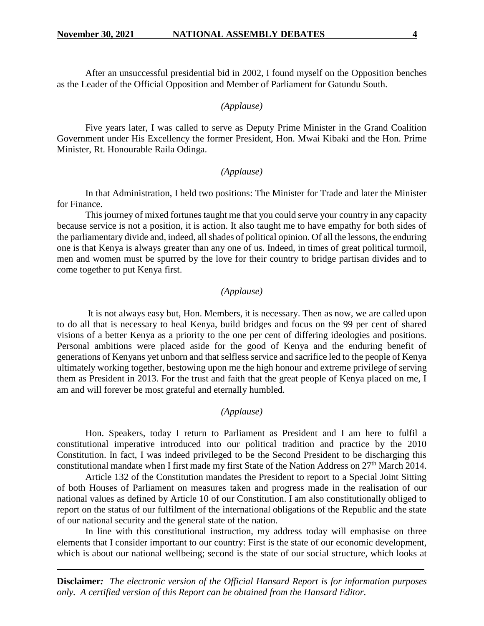After an unsuccessful presidential bid in 2002, I found myself on the Opposition benches as the Leader of the Official Opposition and Member of Parliament for Gatundu South.

## *(Applause)*

Five years later, I was called to serve as Deputy Prime Minister in the Grand Coalition Government under His Excellency the former President, Hon. Mwai Kibaki and the Hon. Prime Minister, Rt. Honourable Raila Odinga.

#### *(Applause)*

In that Administration, I held two positions: The Minister for Trade and later the Minister for Finance.

This journey of mixed fortunes taught me that you could serve your country in any capacity because service is not a position, it is action. It also taught me to have empathy for both sides of the parliamentary divide and, indeed, all shades of political opinion. Of all the lessons, the enduring one is that Kenya is always greater than any one of us. Indeed, in times of great political turmoil, men and women must be spurred by the love for their country to bridge partisan divides and to come together to put Kenya first.

# *(Applause)*

It is not always easy but, Hon. Members, it is necessary. Then as now, we are called upon to do all that is necessary to heal Kenya, build bridges and focus on the 99 per cent of shared visions of a better Kenya as a priority to the one per cent of differing ideologies and positions. Personal ambitions were placed aside for the good of Kenya and the enduring benefit of generations of Kenyans yet unborn and that selfless service and sacrifice led to the people of Kenya ultimately working together, bestowing upon me the high honour and extreme privilege of serving them as President in 2013. For the trust and faith that the great people of Kenya placed on me, I am and will forever be most grateful and eternally humbled.

# *(Applause)*

Hon. Speakers, today I return to Parliament as President and I am here to fulfil a constitutional imperative introduced into our political tradition and practice by the 2010 Constitution. In fact, I was indeed privileged to be the Second President to be discharging this constitutional mandate when I first made my first State of the Nation Address on 27<sup>th</sup> March 2014.

Article 132 of the Constitution mandates the President to report to a Special Joint Sitting of both Houses of Parliament on measures taken and progress made in the realisation of our national values as defined by Article 10 of our Constitution. I am also constitutionally obliged to report on the status of our fulfilment of the international obligations of the Republic and the state of our national security and the general state of the nation.

In line with this constitutional instruction, my address today will emphasise on three elements that I consider important to our country: First is the state of our economic development, which is about our national wellbeing; second is the state of our social structure, which looks at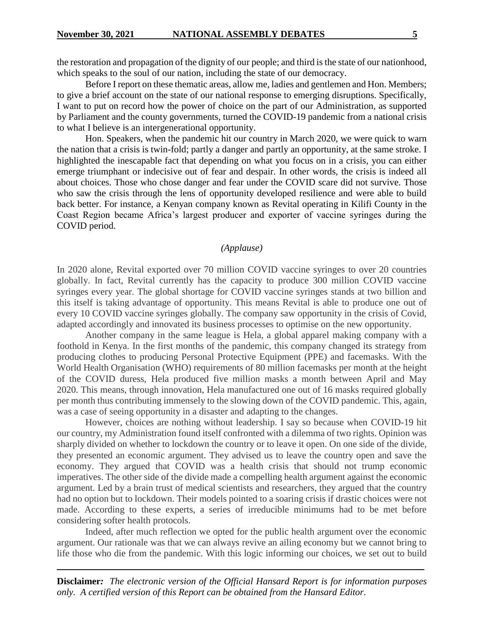the restoration and propagation of the dignity of our people; and third is the state of our nationhood, which speaks to the soul of our nation, including the state of our democracy.

Before I report on these thematic areas, allow me, ladies and gentlemen and Hon. Members; to give a brief account on the state of our national response to emerging disruptions. Specifically, I want to put on record how the power of choice on the part of our Administration, as supported by Parliament and the county governments, turned the COVID-19 pandemic from a national crisis to what I believe is an intergenerational opportunity.

Hon. Speakers, when the pandemic hit our country in March 2020, we were quick to warn the nation that a crisis is twin-fold; partly a danger and partly an opportunity, at the same stroke. I highlighted the inescapable fact that depending on what you focus on in a crisis, you can either emerge triumphant or indecisive out of fear and despair. In other words, the crisis is indeed all about choices. Those who chose danger and fear under the COVID scare did not survive. Those who saw the crisis through the lens of opportunity developed resilience and were able to build back better. For instance, a Kenyan company known as Revital operating in Kilifi County in the Coast Region became Africa's largest producer and exporter of vaccine syringes during the COVID period.

#### *(Applause)*

In 2020 alone, Revital exported over 70 million COVID vaccine syringes to over 20 countries globally. In fact, Revital currently has the capacity to produce 300 million COVID vaccine syringes every year. The global shortage for COVID vaccine syringes stands at two billion and this itself is taking advantage of opportunity. This means Revital is able to produce one out of every 10 COVID vaccine syringes globally. The company saw opportunity in the crisis of Covid, adapted accordingly and innovated its business processes to optimise on the new opportunity.

Another company in the same league is Hela, a global apparel making company with a foothold in Kenya. In the first months of the pandemic, this company changed its strategy from producing clothes to producing Personal Protective Equipment (PPE) and facemasks. With the World Health Organisation (WHO) requirements of 80 million facemasks per month at the height of the COVID duress, Hela produced five million masks a month between April and May 2020. This means, through innovation, Hela manufactured one out of 16 masks required globally per month thus contributing immensely to the slowing down of the COVID pandemic. This, again, was a case of seeing opportunity in a disaster and adapting to the changes.

However, choices are nothing without leadership. I say so because when COVID-19 hit our country, my Administration found itself confronted with a dilemma of two rights. Opinion was sharply divided on whether to lockdown the country or to leave it open. On one side of the divide, they presented an economic argument. They advised us to leave the country open and save the economy. They argued that COVID was a health crisis that should not trump economic imperatives. The other side of the divide made a compelling health argument against the economic argument. Led by a brain trust of medical scientists and researchers, they argued that the country had no option but to lockdown. Their models pointed to a soaring crisis if drastic choices were not made. According to these experts, a series of irreducible minimums had to be met before considering softer health protocols.

Indeed, after much reflection we opted for the public health argument over the economic argument. Our rationale was that we can always revive an ailing economy but we cannot bring to life those who die from the pandemic. With this logic informing our choices, we set out to build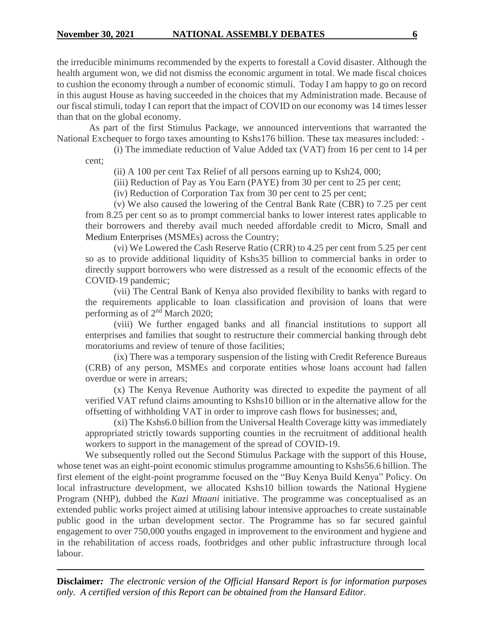the irreducible minimums recommended by the experts to forestall a Covid disaster. Although the health argument won, we did not dismiss the economic argument in total. We made fiscal choices to cushion the economy through a number of economic stimuli. Today I am happy to go on record in this august House as having succeeded in the choices that my Administration made. Because of our fiscal stimuli, today I can report that the impact of COVID on our economy was 14 times lesser than that on the global economy.

As part of the first Stimulus Package, we announced interventions that warranted the National Exchequer to forgo taxes amounting to Kshs176 billion. These tax measures included: -

(i) The immediate reduction of Value Added tax (VAT) from 16 per cent to 14 per cent;

(ii) A 100 per cent Tax Relief of all persons earning up to Ksh24, 000;

(iii) Reduction of Pay as You Earn (PAYE) from 30 per cent to 25 per cent;

(iv) Reduction of Corporation Tax from 30 per cent to 25 per cent;

(v) We also caused the lowering of the Central Bank Rate (CBR) to 7.25 per cent from 8.25 per cent so as to prompt commercial banks to lower interest rates applicable to their borrowers and thereby avail much needed affordable credit to Micro, Small and Medium Enterprises (MSMEs) across the Country;

(vi) We Lowered the Cash Reserve Ratio (CRR) to 4.25 per cent from 5.25 per cent so as to provide additional liquidity of Kshs35 billion to commercial banks in order to directly support borrowers who were distressed as a result of the economic effects of the COVID-19 pandemic;

(vii) The Central Bank of Kenya also provided flexibility to banks with regard to the requirements applicable to loan classification and provision of loans that were performing as of  $2<sup>nd</sup>$  March 2020;

(viii) We further engaged banks and all financial institutions to support all enterprises and families that sought to restructure their commercial banking through debt moratoriums and review of tenure of those facilities;

(ix) There was a temporary suspension of the listing with Credit Reference Bureaus (CRB) of any person, MSMEs and corporate entities whose loans account had fallen overdue or were in arrears;

(x) The Kenya Revenue Authority was directed to expedite the payment of all verified VAT refund claims amounting to Kshs10 billion or in the alternative allow for the offsetting of withholding VAT in order to improve cash flows for businesses; and,

(xi) The Kshs6.0 billion from the Universal Health Coverage kitty was immediately appropriated strictly towards supporting counties in the recruitment of additional health workers to support in the management of the spread of COVID-19.

We subsequently rolled out the Second Stimulus Package with the support of this House, whose tenet was an eight-point economic stimulus programme amounting to Kshs56.6 billion. The first element of the eight-point programme focused on the "Buy Kenya Build Kenya" Policy. On local infrastructure development, we allocated Kshs10 billion towards the National Hygiene Program (NHP), dubbed the *Kazi Mtaani* initiative. The programme was conceptualised as an extended public works project aimed at utilising labour intensive approaches to create sustainable public good in the urban development sector. The Programme has so far secured gainful engagement to over 750,000 youths engaged in improvement to the environment and hygiene and in the rehabilitation of access roads, footbridges and other public infrastructure through local labour.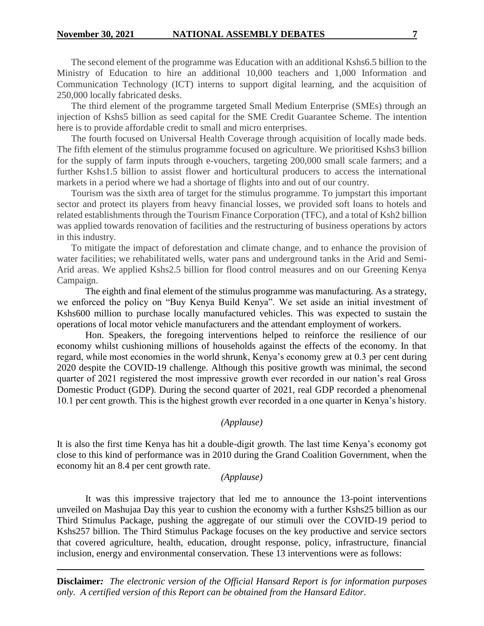The second element of the programme was Education with an additional Kshs6.5 billion to the Ministry of Education to hire an additional 10,000 teachers and 1,000 Information and Communication Technology (ICT) interns to support digital learning, and the acquisition of 250,000 locally fabricated desks.

The third element of the programme targeted Small Medium Enterprise (SMEs) through an injection of Kshs5 billion as seed capital for the SME Credit Guarantee Scheme. The intention here is to provide affordable credit to small and micro enterprises.

The fourth focused on Universal Health Coverage through acquisition of locally made beds. The fifth element of the stimulus programme focused on agriculture. We prioritised Kshs3 billion for the supply of farm inputs through e-vouchers, targeting 200,000 small scale farmers; and a further Kshs1.5 billion to assist flower and horticultural producers to access the international markets in a period where we had a shortage of flights into and out of our country.

Tourism was the sixth area of target for the stimulus programme. To jumpstart this important sector and protect its players from heavy financial losses, we provided soft loans to hotels and related establishments through the Tourism Finance Corporation (TFC), and a total of Ksh2 billion was applied towards renovation of facilities and the restructuring of business operations by actors in this industry.

To mitigate the impact of deforestation and climate change, and to enhance the provision of water facilities; we rehabilitated wells, water pans and underground tanks in the Arid and Semi-Arid areas. We applied Kshs2.5 billion for flood control measures and on our Greening Kenya Campaign.

The eighth and final element of the stimulus programme was manufacturing. As a strategy, we enforced the policy on "Buy Kenya Build Kenya". We set aside an initial investment of Kshs600 million to purchase locally manufactured vehicles. This was expected to sustain the operations of local motor vehicle manufacturers and the attendant employment of workers.

Hon. Speakers, the foregoing interventions helped to reinforce the resilience of our economy whilst cushioning millions of households against the effects of the economy. In that regard, while most economies in the world shrunk, Kenya's economy grew at 0.3 per cent during 2020 despite the COVID-19 challenge. Although this positive growth was minimal, the second quarter of 2021 registered the most impressive growth ever recorded in our nation's real Gross Domestic Product (GDP). During the second quarter of 2021, real GDP recorded a phenomenal 10.1 per cent growth. This is the highest growth ever recorded in a one quarter in Kenya's history.

# *(Applause)*

It is also the first time Kenya has hit a double-digit growth. The last time Kenya's economy got close to this kind of performance was in 2010 during the Grand Coalition Government, when the economy hit an 8.4 per cent growth rate.

#### *(Applause)*

It was this impressive trajectory that led me to announce the 13-point interventions unveiled on Mashujaa Day this year to cushion the economy with a further Kshs25 billion as our Third Stimulus Package, pushing the aggregate of our stimuli over the COVID-19 period to Kshs257 billion. The Third Stimulus Package focuses on the key productive and service sectors that covered agriculture, health, education, drought response, policy, infrastructure, financial inclusion, energy and environmental conservation. These 13 interventions were as follows: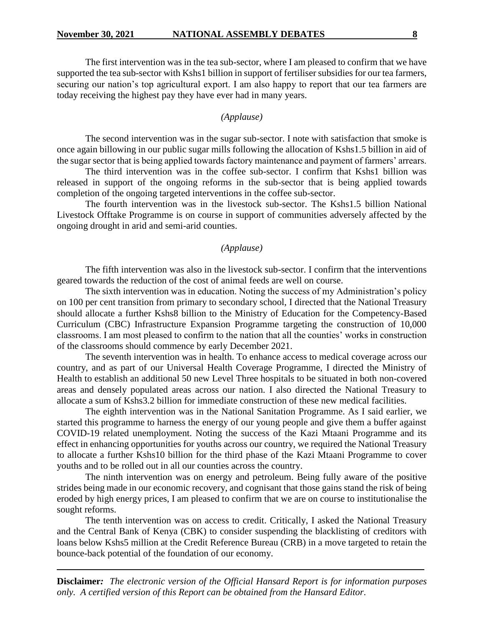The first intervention was in the tea sub-sector, where I am pleased to confirm that we have supported the tea sub-sector with Kshs1 billion in support of fertiliser subsidies for our tea farmers, securing our nation's top agricultural export. I am also happy to report that our tea farmers are today receiving the highest pay they have ever had in many years.

#### *(Applause)*

The second intervention was in the sugar sub-sector. I note with satisfaction that smoke is once again billowing in our public sugar mills following the allocation of Kshs1.5 billion in aid of the sugar sector that is being applied towards factory maintenance and payment of farmers' arrears.

The third intervention was in the coffee sub-sector. I confirm that Kshs1 billion was released in support of the ongoing reforms in the sub-sector that is being applied towards completion of the ongoing targeted interventions in the coffee sub-sector.

The fourth intervention was in the livestock sub-sector. The Kshs1.5 billion National Livestock Offtake Programme is on course in support of communities adversely affected by the ongoing drought in arid and semi-arid counties.

#### *(Applause)*

The fifth intervention was also in the livestock sub-sector. I confirm that the interventions geared towards the reduction of the cost of animal feeds are well on course.

The sixth intervention was in education. Noting the success of my Administration's policy on 100 per cent transition from primary to secondary school, I directed that the National Treasury should allocate a further Kshs8 billion to the Ministry of Education for the Competency-Based Curriculum (CBC) Infrastructure Expansion Programme targeting the construction of 10,000 classrooms. I am most pleased to confirm to the nation that all the counties' works in construction of the classrooms should commence by early December 2021.

The seventh intervention was in health. To enhance access to medical coverage across our country, and as part of our Universal Health Coverage Programme, I directed the Ministry of Health to establish an additional 50 new Level Three hospitals to be situated in both non-covered areas and densely populated areas across our nation. I also directed the National Treasury to allocate a sum of Kshs3.2 billion for immediate construction of these new medical facilities.

The eighth intervention was in the National Sanitation Programme. As I said earlier, we started this programme to harness the energy of our young people and give them a buffer against COVID-19 related unemployment. Noting the success of the Kazi Mtaani Programme and its effect in enhancing opportunities for youths across our country, we required the National Treasury to allocate a further Kshs10 billion for the third phase of the Kazi Mtaani Programme to cover youths and to be rolled out in all our counties across the country.

The ninth intervention was on energy and petroleum. Being fully aware of the positive strides being made in our economic recovery, and cognisant that those gains stand the risk of being eroded by high energy prices, I am pleased to confirm that we are on course to institutionalise the sought reforms.

The tenth intervention was on access to credit. Critically, I asked the National Treasury and the Central Bank of Kenya (CBK) to consider suspending the blacklisting of creditors with loans below Kshs5 million at the Credit Reference Bureau (CRB) in a move targeted to retain the bounce-back potential of the foundation of our economy.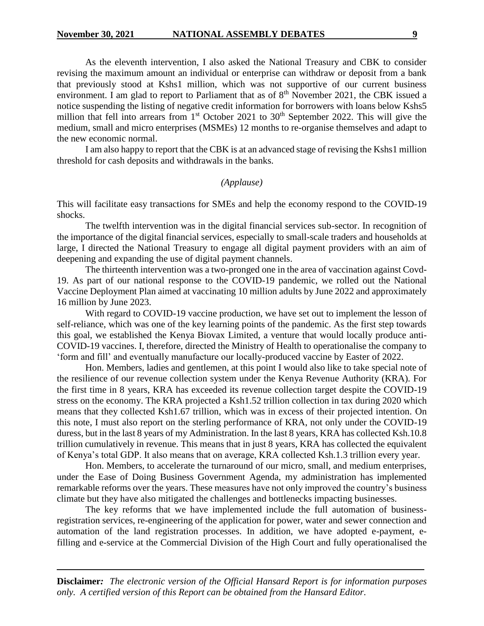As the eleventh intervention, I also asked the National Treasury and CBK to consider revising the maximum amount an individual or enterprise can withdraw or deposit from a bank that previously stood at Kshs1 million, which was not supportive of our current business environment. I am glad to report to Parliament that as of  $8<sup>th</sup>$  November 2021, the CBK issued a notice suspending the listing of negative credit information for borrowers with loans below Kshs5 million that fell into arrears from  $1<sup>st</sup>$  October 2021 to 30<sup>th</sup> September 2022. This will give the medium, small and micro enterprises (MSMEs) 12 months to re-organise themselves and adapt to the new economic normal.

I am also happy to report that the CBK is at an advanced stage of revising the Kshs1 million threshold for cash deposits and withdrawals in the banks.

#### *(Applause)*

This will facilitate easy transactions for SMEs and help the economy respond to the COVID-19 shocks.

The twelfth intervention was in the digital financial services sub-sector. In recognition of the importance of the digital financial services, especially to small-scale traders and households at large, I directed the National Treasury to engage all digital payment providers with an aim of deepening and expanding the use of digital payment channels.

The thirteenth intervention was a two-pronged one in the area of vaccination against Covd-19. As part of our national response to the COVID-19 pandemic, we rolled out the National Vaccine Deployment Plan aimed at vaccinating 10 million adults by June 2022 and approximately 16 million by June 2023.

With regard to COVID-19 vaccine production, we have set out to implement the lesson of self-reliance, which was one of the key learning points of the pandemic. As the first step towards this goal, we established the Kenya Biovax Limited, a venture that would locally produce anti-COVID-19 vaccines. I, therefore, directed the Ministry of Health to operationalise the company to 'form and fill' and eventually manufacture our locally-produced vaccine by Easter of 2022.

Hon. Members, ladies and gentlemen, at this point I would also like to take special note of the resilience of our revenue collection system under the Kenya Revenue Authority (KRA). For the first time in 8 years, KRA has exceeded its revenue collection target despite the COVID-19 stress on the economy. The KRA projected a Ksh1.52 trillion collection in tax during 2020 which means that they collected Ksh1.67 trillion, which was in excess of their projected intention. On this note, I must also report on the sterling performance of KRA, not only under the COVID-19 duress, but in the last 8 years of my Administration. In the last 8 years, KRA has collected Ksh.10.8 trillion cumulatively in revenue. This means that in just 8 years, KRA has collected the equivalent of Kenya's total GDP. It also means that on average, KRA collected Ksh.1.3 trillion every year.

Hon. Members, to accelerate the turnaround of our micro, small, and medium enterprises, under the Ease of Doing Business Government Agenda, my administration has implemented remarkable reforms over the years. These measures have not only improved the country's business climate but they have also mitigated the challenges and bottlenecks impacting businesses.

The key reforms that we have implemented include the full automation of businessregistration services, re-engineering of the application for power, water and sewer connection and automation of the land registration processes. In addition, we have adopted e-payment, efilling and e-service at the Commercial Division of the High Court and fully operationalised the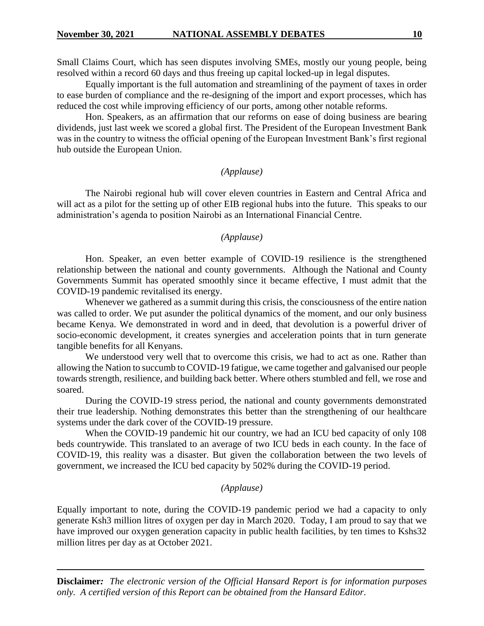Small Claims Court, which has seen disputes involving SMEs, mostly our young people, being resolved within a record 60 days and thus freeing up capital locked-up in legal disputes.

Equally important is the full automation and streamlining of the payment of taxes in order to ease burden of compliance and the re-designing of the import and export processes, which has reduced the cost while improving efficiency of our ports, among other notable reforms.

Hon. Speakers, as an affirmation that our reforms on ease of doing business are bearing dividends, just last week we scored a global first. The President of the European Investment Bank was in the country to witness the official opening of the European Investment Bank's first regional hub outside the European Union.

#### *(Applause)*

The Nairobi regional hub will cover eleven countries in Eastern and Central Africa and will act as a pilot for the setting up of other EIB regional hubs into the future. This speaks to our administration's agenda to position Nairobi as an International Financial Centre.

# *(Applause)*

Hon. Speaker, an even better example of COVID-19 resilience is the strengthened relationship between the national and county governments. Although the National and County Governments Summit has operated smoothly since it became effective, I must admit that the COVID-19 pandemic revitalised its energy.

Whenever we gathered as a summit during this crisis, the consciousness of the entire nation was called to order. We put asunder the political dynamics of the moment, and our only business became Kenya. We demonstrated in word and in deed, that devolution is a powerful driver of socio-economic development, it creates synergies and acceleration points that in turn generate tangible benefits for all Kenyans.

We understood very well that to overcome this crisis, we had to act as one. Rather than allowing the Nation to succumb to COVID-19 fatigue, we came together and galvanised our people towards strength, resilience, and building back better. Where others stumbled and fell, we rose and soared.

During the COVID-19 stress period, the national and county governments demonstrated their true leadership. Nothing demonstrates this better than the strengthening of our healthcare systems under the dark cover of the COVID-19 pressure.

When the COVID-19 pandemic hit our country, we had an ICU bed capacity of only 108 beds countrywide. This translated to an average of two ICU beds in each county. In the face of COVID-19, this reality was a disaster. But given the collaboration between the two levels of government, we increased the ICU bed capacity by 502% during the COVID-19 period.

#### *(Applause)*

Equally important to note, during the COVID-19 pandemic period we had a capacity to only generate Ksh3 million litres of oxygen per day in March 2020. Today, I am proud to say that we have improved our oxygen generation capacity in public health facilities, by ten times to Kshs32 million litres per day as at October 2021.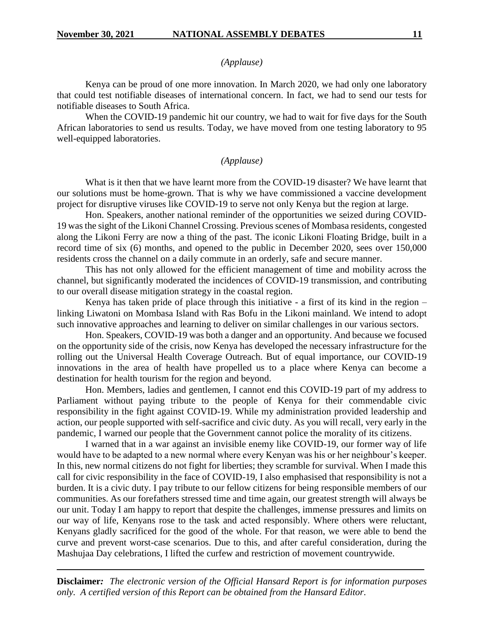## *(Applause)*

Kenya can be proud of one more innovation. In March 2020, we had only one laboratory that could test notifiable diseases of international concern. In fact, we had to send our tests for notifiable diseases to South Africa.

When the COVID-19 pandemic hit our country, we had to wait for five days for the South African laboratories to send us results. Today, we have moved from one testing laboratory to 95 well-equipped laboratories.

# *(Applause)*

What is it then that we have learnt more from the COVID-19 disaster? We have learnt that our solutions must be home-grown. That is why we have commissioned a vaccine development project for disruptive viruses like COVID-19 to serve not only Kenya but the region at large.

Hon. Speakers, another national reminder of the opportunities we seized during COVID-19 was the sight of the Likoni Channel Crossing. Previous scenes of Mombasa residents, congested along the Likoni Ferry are now a thing of the past. The iconic Likoni Floating Bridge, built in a record time of six (6) months, and opened to the public in December 2020, sees over 150,000 residents cross the channel on a daily commute in an orderly, safe and secure manner.

This has not only allowed for the efficient management of time and mobility across the channel, but significantly moderated the incidences of COVID-19 transmission, and contributing to our overall disease mitigation strategy in the coastal region.

Kenya has taken pride of place through this initiative - a first of its kind in the region – linking Liwatoni on Mombasa Island with Ras Bofu in the Likoni mainland. We intend to adopt such innovative approaches and learning to deliver on similar challenges in our various sectors.

Hon. Speakers, COVID-19 was both a danger and an opportunity. And because we focused on the opportunity side of the crisis, now Kenya has developed the necessary infrastructure for the rolling out the Universal Health Coverage Outreach. But of equal importance, our COVID-19 innovations in the area of health have propelled us to a place where Kenya can become a destination for health tourism for the region and beyond.

Hon. Members, ladies and gentlemen, I cannot end this COVID-19 part of my address to Parliament without paying tribute to the people of Kenya for their commendable civic responsibility in the fight against COVID-19. While my administration provided leadership and action, our people supported with self-sacrifice and civic duty. As you will recall, very early in the pandemic, I warned our people that the Government cannot police the morality of its citizens.

I warned that in a war against an invisible enemy like COVID-19, our former way of life would have to be adapted to a new normal where every Kenyan was his or her neighbour's keeper. In this, new normal citizens do not fight for liberties; they scramble for survival. When I made this call for civic responsibility in the face of COVID-19, I also emphasised that responsibility is not a burden. It is a civic duty. I pay tribute to our fellow citizens for being responsible members of our communities. As our forefathers stressed time and time again, our greatest strength will always be our unit. Today I am happy to report that despite the challenges, immense pressures and limits on our way of life, Kenyans rose to the task and acted responsibly. Where others were reluctant, Kenyans gladly sacrificed for the good of the whole. For that reason, we were able to bend the curve and prevent worst-case scenarios. Due to this, and after careful consideration, during the Mashujaa Day celebrations, I lifted the curfew and restriction of movement countrywide.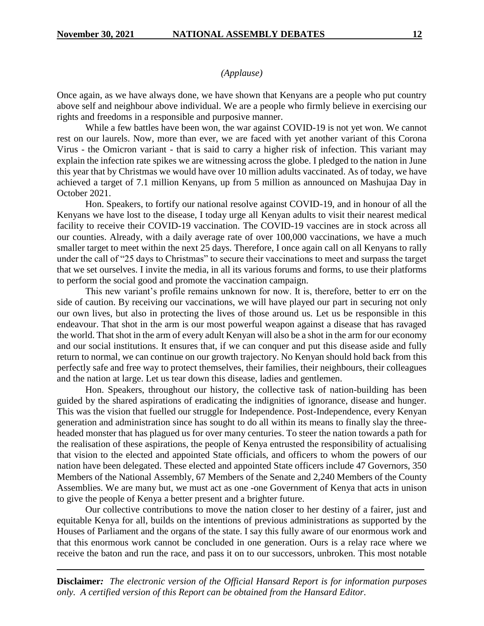# *(Applause)*

Once again, as we have always done, we have shown that Kenyans are a people who put country above self and neighbour above individual. We are a people who firmly believe in exercising our rights and freedoms in a responsible and purposive manner.

While a few battles have been won, the war against COVID-19 is not yet won. We cannot rest on our laurels. Now, more than ever, we are faced with yet another variant of this Corona Virus - the Omicron variant - that is said to carry a higher risk of infection. This variant may explain the infection rate spikes we are witnessing across the globe. I pledged to the nation in June this year that by Christmas we would have over 10 million adults vaccinated. As of today, we have achieved a target of 7.1 million Kenyans, up from 5 million as announced on Mashujaa Day in October 2021.

Hon. Speakers, to fortify our national resolve against COVID-19, and in honour of all the Kenyans we have lost to the disease, I today urge all Kenyan adults to visit their nearest medical facility to receive their COVID-19 vaccination. The COVID-19 vaccines are in stock across all our counties. Already, with a daily average rate of over 100,000 vaccinations, we have a much smaller target to meet within the next 25 days. Therefore, I once again call on all Kenyans to rally under the call of "25 days to Christmas" to secure their vaccinations to meet and surpass the target that we set ourselves. I invite the media, in all its various forums and forms, to use their platforms to perform the social good and promote the vaccination campaign.

This new variant's profile remains unknown for now. It is, therefore, better to err on the side of caution. By receiving our vaccinations, we will have played our part in securing not only our own lives, but also in protecting the lives of those around us. Let us be responsible in this endeavour. That shot in the arm is our most powerful weapon against a disease that has ravaged the world. That shot in the arm of every adult Kenyan will also be a shot in the arm for our economy and our social institutions. It ensures that, if we can conquer and put this disease aside and fully return to normal, we can continue on our growth trajectory. No Kenyan should hold back from this perfectly safe and free way to protect themselves, their families, their neighbours, their colleagues and the nation at large. Let us tear down this disease, ladies and gentlemen.

Hon. Speakers, throughout our history, the collective task of nation-building has been guided by the shared aspirations of eradicating the indignities of ignorance, disease and hunger. This was the vision that fuelled our struggle for Independence. Post-Independence, every Kenyan generation and administration since has sought to do all within its means to finally slay the threeheaded monster that has plagued us for over many centuries. To steer the nation towards a path for the realisation of these aspirations, the people of Kenya entrusted the responsibility of actualising that vision to the elected and appointed State officials, and officers to whom the powers of our nation have been delegated. These elected and appointed State officers include 47 Governors, 350 Members of the National Assembly, 67 Members of the Senate and 2,240 Members of the County Assemblies. We are many but, we must act as one -one Government of Kenya that acts in unison to give the people of Kenya a better present and a brighter future.

Our collective contributions to move the nation closer to her destiny of a fairer, just and equitable Kenya for all, builds on the intentions of previous administrations as supported by the Houses of Parliament and the organs of the state. I say this fully aware of our enormous work and that this enormous work cannot be concluded in one generation. Ours is a relay race where we receive the baton and run the race, and pass it on to our successors, unbroken. This most notable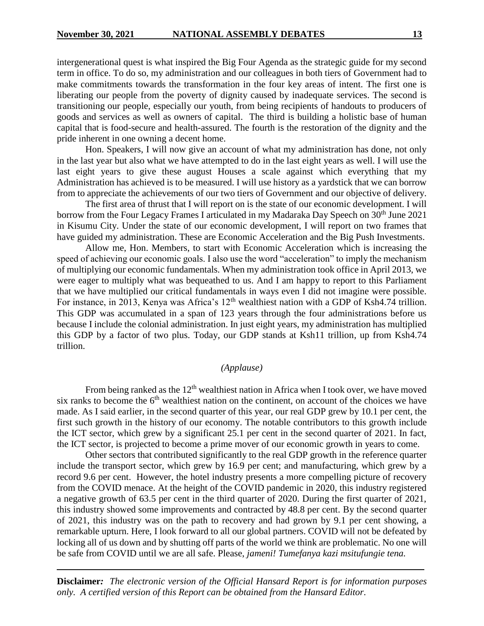intergenerational quest is what inspired the Big Four Agenda as the strategic guide for my second term in office. To do so, my administration and our colleagues in both tiers of Government had to make commitments towards the transformation in the four key areas of intent. The first one is liberating our people from the poverty of dignity caused by inadequate services. The second is transitioning our people, especially our youth, from being recipients of handouts to producers of goods and services as well as owners of capital. The third is building a holistic base of human capital that is food-secure and health-assured. The fourth is the restoration of the dignity and the pride inherent in one owning a decent home.

Hon. Speakers, I will now give an account of what my administration has done, not only in the last year but also what we have attempted to do in the last eight years as well. I will use the last eight years to give these august Houses a scale against which everything that my Administration has achieved is to be measured. I will use history as a yardstick that we can borrow from to appreciate the achievements of our two tiers of Government and our objective of delivery.

The first area of thrust that I will report on is the state of our economic development. I will borrow from the Four Legacy Frames I articulated in my Madaraka Day Speech on 30<sup>th</sup> June 2021 in Kisumu City. Under the state of our economic development, I will report on two frames that have guided my administration. These are Economic Acceleration and the Big Push Investments.

Allow me, Hon. Members, to start with Economic Acceleration which is increasing the speed of achieving our economic goals. I also use the word "acceleration" to imply the mechanism of multiplying our economic fundamentals. When my administration took office in April 2013, we were eager to multiply what was bequeathed to us. And I am happy to report to this Parliament that we have multiplied our critical fundamentals in ways even I did not imagine were possible. For instance, in 2013, Kenya was Africa's 12<sup>th</sup> wealthiest nation with a GDP of Ksh4.74 trillion. This GDP was accumulated in a span of 123 years through the four administrations before us because I include the colonial administration. In just eight years, my administration has multiplied this GDP by a factor of two plus. Today, our GDP stands at Ksh11 trillion, up from Ksh4.74 trillion.

#### *(Applause)*

From being ranked as the  $12<sup>th</sup>$  wealthiest nation in Africa when I took over, we have moved six ranks to become the  $6<sup>th</sup>$  wealthiest nation on the continent, on account of the choices we have made. As I said earlier, in the second quarter of this year, our real GDP grew by 10.1 per cent, the first such growth in the history of our economy. The notable contributors to this growth include the ICT sector, which grew by a significant 25.1 per cent in the second quarter of 2021. In fact, the ICT sector, is projected to become a prime mover of our economic growth in years to come.

Other sectors that contributed significantly to the real GDP growth in the reference quarter include the transport sector, which grew by 16.9 per cent; and manufacturing, which grew by a record 9.6 per cent. However, the hotel industry presents a more compelling picture of recovery from the COVID menace. At the height of the COVID pandemic in 2020, this industry registered a negative growth of 63.5 per cent in the third quarter of 2020. During the first quarter of 2021, this industry showed some improvements and contracted by 48.8 per cent. By the second quarter of 2021, this industry was on the path to recovery and had grown by 9.1 per cent showing, a remarkable upturn. Here, I look forward to all our global partners. COVID will not be defeated by locking all of us down and by shutting off parts of the world we think are problematic. No one will be safe from COVID until we are all safe. Please, *jameni! Tumefanya kazi msitufungie tena.*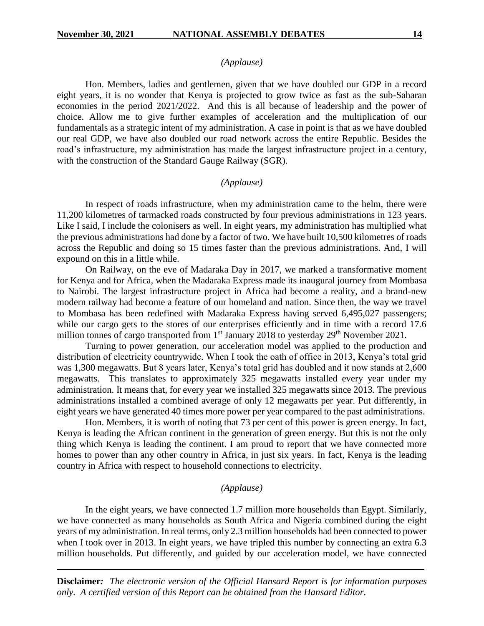# *(Applause)*

Hon. Members, ladies and gentlemen, given that we have doubled our GDP in a record eight years, it is no wonder that Kenya is projected to grow twice as fast as the sub-Saharan economies in the period 2021/2022. And this is all because of leadership and the power of choice. Allow me to give further examples of acceleration and the multiplication of our fundamentals as a strategic intent of my administration. A case in point is that as we have doubled our real GDP, we have also doubled our road network across the entire Republic. Besides the road's infrastructure, my administration has made the largest infrastructure project in a century, with the construction of the Standard Gauge Railway (SGR).

#### *(Applause)*

In respect of roads infrastructure, when my administration came to the helm, there were 11,200 kilometres of tarmacked roads constructed by four previous administrations in 123 years. Like I said, I include the colonisers as well. In eight years, my administration has multiplied what the previous administrations had done by a factor of two. We have built 10,500 kilometres of roads across the Republic and doing so 15 times faster than the previous administrations. And, I will expound on this in a little while.

On Railway, on the eve of Madaraka Day in 2017, we marked a transformative moment for Kenya and for Africa, when the Madaraka Express made its inaugural journey from Mombasa to Nairobi. The largest infrastructure project in Africa had become a reality, and a brand-new modern railway had become a feature of our homeland and nation. Since then, the way we travel to Mombasa has been redefined with Madaraka Express having served 6,495,027 passengers; while our cargo gets to the stores of our enterprises efficiently and in time with a record 17.6 million tonnes of cargo transported from 1<sup>st</sup> January 2018 to yesterday 29<sup>th</sup> November 2021.

Turning to power generation, our acceleration model was applied to the production and distribution of electricity countrywide. When I took the oath of office in 2013, Kenya's total grid was 1,300 megawatts. But 8 years later, Kenya's total grid has doubled and it now stands at 2,600 megawatts. This translates to approximately 325 megawatts installed every year under my administration. It means that, for every year we installed 325 megawatts since 2013. The previous administrations installed a combined average of only 12 megawatts per year. Put differently, in eight years we have generated 40 times more power per year compared to the past administrations.

Hon. Members, it is worth of noting that 73 per cent of this power is green energy. In fact, Kenya is leading the African continent in the generation of green energy. But this is not the only thing which Kenya is leading the continent. I am proud to report that we have connected more homes to power than any other country in Africa, in just six years. In fact, Kenya is the leading country in Africa with respect to household connections to electricity.

#### *(Applause)*

In the eight years, we have connected 1.7 million more households than Egypt. Similarly, we have connected as many households as South Africa and Nigeria combined during the eight years of my administration. In real terms, only 2.3 million households had been connected to power when I took over in 2013. In eight years, we have tripled this number by connecting an extra 6.3 million households. Put differently, and guided by our acceleration model, we have connected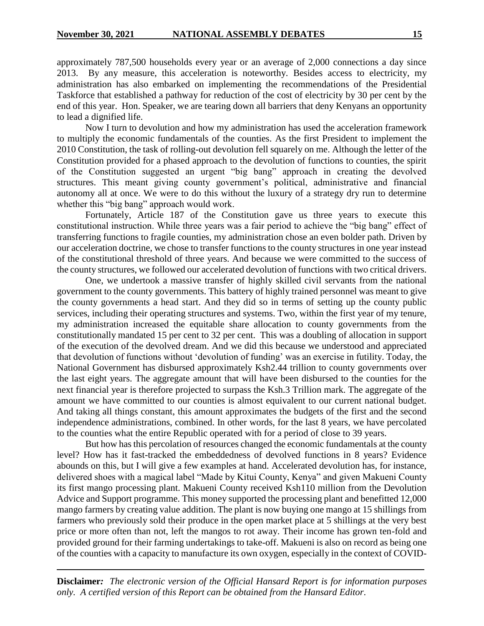approximately 787,500 households every year or an average of 2,000 connections a day since 2013. By any measure, this acceleration is noteworthy. Besides access to electricity, my administration has also embarked on implementing the recommendations of the Presidential Taskforce that established a pathway for reduction of the cost of electricity by 30 per cent by the end of this year. Hon. Speaker, we are tearing down all barriers that deny Kenyans an opportunity to lead a dignified life.

Now I turn to devolution and how my administration has used the acceleration framework to multiply the economic fundamentals of the counties. As the first President to implement the 2010 Constitution, the task of rolling-out devolution fell squarely on me. Although the letter of the Constitution provided for a phased approach to the devolution of functions to counties, the spirit of the Constitution suggested an urgent "big bang" approach in creating the devolved structures. This meant giving county government's political, administrative and financial autonomy all at once. We were to do this without the luxury of a strategy dry run to determine whether this "big bang" approach would work.

Fortunately, Article 187 of the Constitution gave us three years to execute this constitutional instruction. While three years was a fair period to achieve the "big bang" effect of transferring functions to fragile counties, my administration chose an even bolder path. Driven by our acceleration doctrine, we chose to transfer functions to the county structures in one year instead of the constitutional threshold of three years. And because we were committed to the success of the county structures, we followed our accelerated devolution of functions with two critical drivers.

One, we undertook a massive transfer of highly skilled civil servants from the national government to the county governments. This battery of highly trained personnel was meant to give the county governments a head start. And they did so in terms of setting up the county public services, including their operating structures and systems. Two, within the first year of my tenure, my administration increased the equitable share allocation to county governments from the constitutionally mandated 15 per cent to 32 per cent. This was a doubling of allocation in support of the execution of the devolved dream. And we did this because we understood and appreciated that devolution of functions without 'devolution of funding' was an exercise in futility. Today, the National Government has disbursed approximately Ksh2.44 trillion to county governments over the last eight years. The aggregate amount that will have been disbursed to the counties for the next financial year is therefore projected to surpass the Ksh.3 Trillion mark. The aggregate of the amount we have committed to our counties is almost equivalent to our current national budget. And taking all things constant, this amount approximates the budgets of the first and the second independence administrations, combined. In other words, for the last 8 years, we have percolated to the counties what the entire Republic operated with for a period of close to 39 years.

But how has this percolation of resources changed the economic fundamentals at the county level? How has it fast-tracked the embeddedness of devolved functions in 8 years? Evidence abounds on this, but I will give a few examples at hand. Accelerated devolution has, for instance, delivered shoes with a magical label "Made by Kitui County, Kenya" and given Makueni County its first mango processing plant. Makueni County received Ksh110 million from the Devolution Advice and Support programme. This money supported the processing plant and benefitted 12,000 mango farmers by creating value addition. The plant is now buying one mango at 15 shillings from farmers who previously sold their produce in the open market place at 5 shillings at the very best price or more often than not, left the mangos to rot away. Their income has grown ten-fold and provided ground for their farming undertakings to take-off. Makueni is also on record as being one of the counties with a capacity to manufacture its own oxygen, especially in the context of COVID-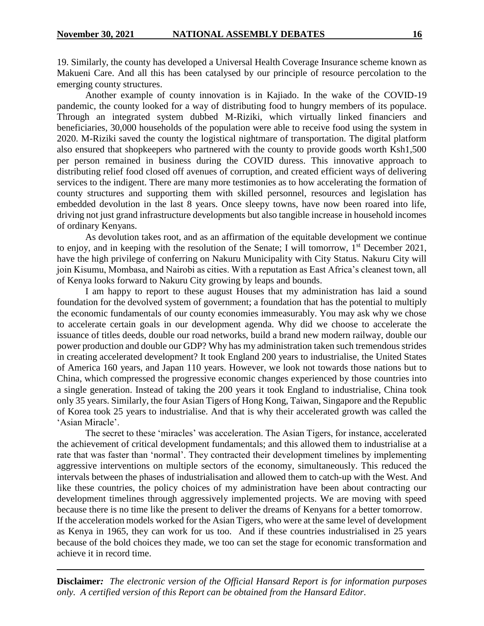19. Similarly, the county has developed a Universal Health Coverage Insurance scheme known as Makueni Care. And all this has been catalysed by our principle of resource percolation to the emerging county structures.

Another example of county innovation is in Kajiado. In the wake of the COVID-19 pandemic, the county looked for a way of distributing food to hungry members of its populace. Through an integrated system dubbed M-Riziki, which virtually linked financiers and beneficiaries, 30,000 households of the population were able to receive food using the system in 2020. M-Riziki saved the county the logistical nightmare of transportation. The digital platform also ensured that shopkeepers who partnered with the county to provide goods worth Ksh1,500 per person remained in business during the COVID duress. This innovative approach to distributing relief food closed off avenues of corruption, and created efficient ways of delivering services to the indigent. There are many more testimonies as to how accelerating the formation of county structures and supporting them with skilled personnel, resources and legislation has embedded devolution in the last 8 years. Once sleepy towns, have now been roared into life, driving not just grand infrastructure developments but also tangible increase in household incomes of ordinary Kenyans.

As devolution takes root, and as an affirmation of the equitable development we continue to enjoy, and in keeping with the resolution of the Senate; I will tomorrow,  $1<sup>st</sup>$  December 2021, have the high privilege of conferring on Nakuru Municipality with City Status. Nakuru City will join Kisumu, Mombasa, and Nairobi as cities. With a reputation as East Africa's cleanest town, all of Kenya looks forward to Nakuru City growing by leaps and bounds.

I am happy to report to these august Houses that my administration has laid a sound foundation for the devolved system of government; a foundation that has the potential to multiply the economic fundamentals of our county economies immeasurably. You may ask why we chose to accelerate certain goals in our development agenda. Why did we choose to accelerate the issuance of titles deeds, double our road networks, build a brand new modern railway, double our power production and double our GDP? Why has my administration taken such tremendous strides in creating accelerated development? It took England 200 years to industrialise, the United States of America 160 years, and Japan 110 years. However, we look not towards those nations but to China, which compressed the progressive economic changes experienced by those countries into a single generation. Instead of taking the 200 years it took England to industrialise, China took only 35 years. Similarly, the four Asian Tigers of Hong Kong, Taiwan, Singapore and the Republic of Korea took 25 years to industrialise. And that is why their accelerated growth was called the 'Asian Miracle'.

The secret to these 'miracles' was acceleration. The Asian Tigers, for instance, accelerated the achievement of critical development fundamentals; and this allowed them to industrialise at a rate that was faster than 'normal'. They contracted their development timelines by implementing aggressive interventions on multiple sectors of the economy, simultaneously. This reduced the intervals between the phases of industrialisation and allowed them to catch-up with the West. And like these countries, the policy choices of my administration have been about contracting our development timelines through aggressively implemented projects. We are moving with speed because there is no time like the present to deliver the dreams of Kenyans for a better tomorrow. If the acceleration models worked for the Asian Tigers, who were at the same level of development as Kenya in 1965, they can work for us too. And if these countries industrialised in 25 years because of the bold choices they made, we too can set the stage for economic transformation and achieve it in record time.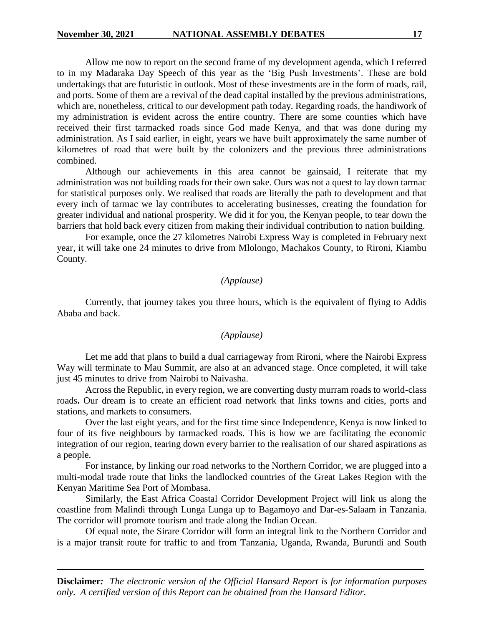Allow me now to report on the second frame of my development agenda, which I referred to in my Madaraka Day Speech of this year as the 'Big Push Investments'. These are bold undertakings that are futuristic in outlook. Most of these investments are in the form of roads, rail, and ports. Some of them are a revival of the dead capital installed by the previous administrations, which are, nonetheless, critical to our development path today. Regarding roads, the handiwork of my administration is evident across the entire country. There are some counties which have received their first tarmacked roads since God made Kenya, and that was done during my administration. As I said earlier, in eight, years we have built approximately the same number of kilometres of road that were built by the colonizers and the previous three administrations combined.

Although our achievements in this area cannot be gainsaid, I reiterate that my administration was not building roads for their own sake. Ours was not a quest to lay down tarmac for statistical purposes only. We realised that roads are literally the path to development and that every inch of tarmac we lay contributes to accelerating businesses, creating the foundation for greater individual and national prosperity. We did it for you, the Kenyan people, to tear down the barriers that hold back every citizen from making their individual contribution to nation building.

For example, once the 27 kilometres Nairobi Express Way is completed in February next year, it will take one 24 minutes to drive from Mlolongo, Machakos County, to Rironi, Kiambu County.

#### *(Applause)*

Currently, that journey takes you three hours, which is the equivalent of flying to Addis Ababa and back.

# *(Applause)*

Let me add that plans to build a dual carriageway from Rironi, where the Nairobi Express Way will terminate to Mau Summit, are also at an advanced stage. Once completed, it will take just 45 minutes to drive from Nairobi to Naivasha.

Across the Republic, in every region, we are converting dusty murram roads to world-class roads**.** Our dream is to create an efficient road network that links towns and cities, ports and stations, and markets to consumers.

Over the last eight years, and for the first time since Independence, Kenya is now linked to four of its five neighbours by tarmacked roads. This is how we are facilitating the economic integration of our region, tearing down every barrier to the realisation of our shared aspirations as a people.

For instance, by linking our road networks to the Northern Corridor, we are plugged into a multi-modal trade route that links the landlocked countries of the Great Lakes Region with the Kenyan Maritime Sea Port of Mombasa.

Similarly, the East Africa Coastal Corridor Development Project will link us along the coastline from Malindi through Lunga Lunga up to Bagamoyo and Dar-es-Salaam in Tanzania. The corridor will promote tourism and trade along the Indian Ocean.

Of equal note, the Sirare Corridor will form an integral link to the Northern Corridor and is a major transit route for traffic to and from Tanzania, Uganda, Rwanda, Burundi and South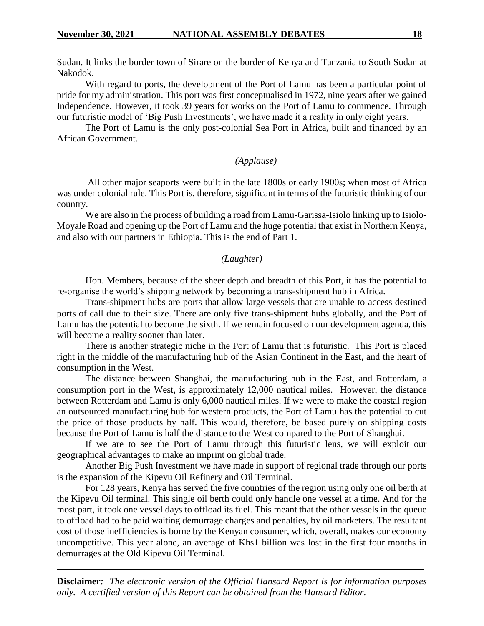Sudan. It links the border town of Sirare on the border of Kenya and Tanzania to South Sudan at Nakodok.

With regard to ports, the development of the Port of Lamu has been a particular point of pride for my administration. This port was first conceptualised in 1972, nine years after we gained Independence. However, it took 39 years for works on the Port of Lamu to commence. Through our futuristic model of 'Big Push Investments', we have made it a reality in only eight years.

The Port of Lamu is the only post-colonial Sea Port in Africa, built and financed by an African Government.

# *(Applause)*

All other major seaports were built in the late 1800s or early 1900s; when most of Africa was under colonial rule. This Port is, therefore, significant in terms of the futuristic thinking of our country.

We are also in the process of building a road from Lamu-Garissa-Isiolo linking up to Isiolo-Moyale Road and opening up the Port of Lamu and the huge potential that exist in Northern Kenya, and also with our partners in Ethiopia. This is the end of Part 1.

#### *(Laughter)*

Hon. Members, because of the sheer depth and breadth of this Port, it has the potential to re-organise the world's shipping network by becoming a trans-shipment hub in Africa.

Trans-shipment hubs are ports that allow large vessels that are unable to access destined ports of call due to their size. There are only five trans-shipment hubs globally, and the Port of Lamu has the potential to become the sixth. If we remain focused on our development agenda, this will become a reality sooner than later.

There is another strategic niche in the Port of Lamu that is futuristic. This Port is placed right in the middle of the manufacturing hub of the Asian Continent in the East, and the heart of consumption in the West.

The distance between Shanghai, the manufacturing hub in the East, and Rotterdam, a consumption port in the West, is approximately 12,000 nautical miles. However, the distance between Rotterdam and Lamu is only 6,000 nautical miles. If we were to make the coastal region an outsourced manufacturing hub for western products, the Port of Lamu has the potential to cut the price of those products by half. This would, therefore, be based purely on shipping costs because the Port of Lamu is half the distance to the West compared to the Port of Shanghai.

If we are to see the Port of Lamu through this futuristic lens, we will exploit our geographical advantages to make an imprint on global trade.

Another Big Push Investment we have made in support of regional trade through our ports is the expansion of the Kipevu Oil Refinery and Oil Terminal.

For 128 years, Kenya has served the five countries of the region using only one oil berth at the Kipevu Oil terminal. This single oil berth could only handle one vessel at a time. And for the most part, it took one vessel days to offload its fuel. This meant that the other vessels in the queue to offload had to be paid waiting demurrage charges and penalties, by oil marketers. The resultant cost of those inefficiencies is borne by the Kenyan consumer, which, overall, makes our economy uncompetitive. This year alone, an average of Khs1 billion was lost in the first four months in demurrages at the Old Kipevu Oil Terminal.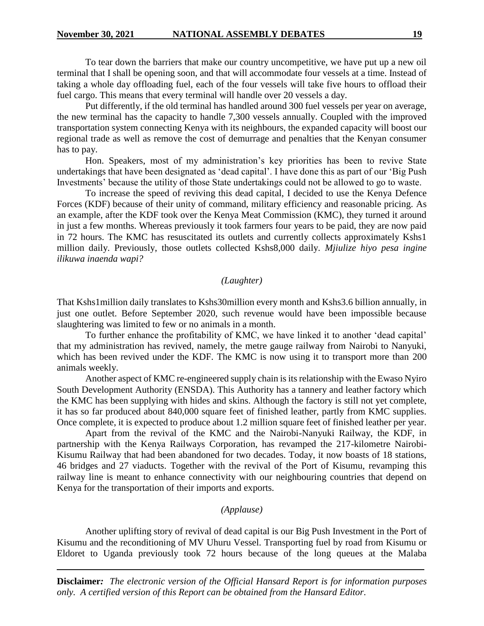To tear down the barriers that make our country uncompetitive, we have put up a new oil terminal that I shall be opening soon, and that will accommodate four vessels at a time. Instead of taking a whole day offloading fuel, each of the four vessels will take five hours to offload their fuel cargo. This means that every terminal will handle over 20 vessels a day.

Put differently, if the old terminal has handled around 300 fuel vessels per year on average, the new terminal has the capacity to handle 7,300 vessels annually. Coupled with the improved transportation system connecting Kenya with its neighbours, the expanded capacity will boost our regional trade as well as remove the cost of demurrage and penalties that the Kenyan consumer has to pay.

Hon. Speakers, most of my administration's key priorities has been to revive State undertakings that have been designated as 'dead capital'. I have done this as part of our 'Big Push Investments' because the utility of those State undertakings could not be allowed to go to waste.

To increase the speed of reviving this dead capital, I decided to use the Kenya Defence Forces (KDF) because of their unity of command, military efficiency and reasonable pricing. As an example, after the KDF took over the Kenya Meat Commission (KMC), they turned it around in just a few months. Whereas previously it took farmers four years to be paid, they are now paid in 72 hours. The KMC has resuscitated its outlets and currently collects approximately Kshs1 million daily. Previously, those outlets collected Kshs8,000 daily. *Mjiulize hiyo pesa ingine ilikuwa inaenda wapi?*

## *(Laughter)*

That Kshs1million daily translates to Kshs30million every month and Kshs3.6 billion annually, in just one outlet. Before September 2020, such revenue would have been impossible because slaughtering was limited to few or no animals in a month.

To further enhance the profitability of KMC, we have linked it to another 'dead capital' that my administration has revived, namely, the metre gauge railway from Nairobi to Nanyuki, which has been revived under the KDF. The KMC is now using it to transport more than 200 animals weekly.

Another aspect of KMC re-engineered supply chain is its relationship with the Ewaso Nyiro South Development Authority (ENSDA). This Authority has a tannery and leather factory which the KMC has been supplying with hides and skins. Although the factory is still not yet complete, it has so far produced about 840,000 square feet of finished leather, partly from KMC supplies. Once complete, it is expected to produce about 1.2 million square feet of finished leather per year.

Apart from the revival of the KMC and the Nairobi-Nanyuki Railway, the KDF, in partnership with the Kenya Railways Corporation, has revamped the 217-kilometre Nairobi-Kisumu Railway that had been abandoned for two decades. Today, it now boasts of 18 stations, 46 bridges and 27 viaducts. Together with the revival of the Port of Kisumu, revamping this railway line is meant to enhance connectivity with our neighbouring countries that depend on Kenya for the transportation of their imports and exports.

## *(Applause)*

Another uplifting story of revival of dead capital is our Big Push Investment in the Port of Kisumu and the reconditioning of MV Uhuru Vessel. Transporting fuel by road from Kisumu or Eldoret to Uganda previously took 72 hours because of the long queues at the Malaba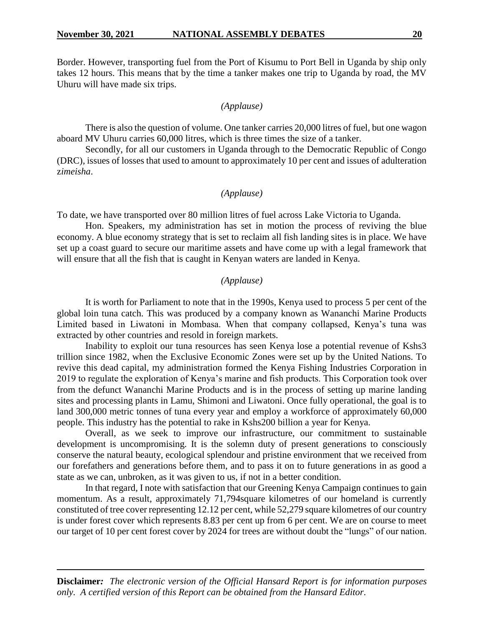Border. However, transporting fuel from the Port of Kisumu to Port Bell in Uganda by ship only takes 12 hours. This means that by the time a tanker makes one trip to Uganda by road, the MV Uhuru will have made six trips.

# *(Applause)*

There is also the question of volume. One tanker carries 20,000 litres of fuel, but one wagon aboard MV Uhuru carries 60,000 litres, which is three times the size of a tanker.

Secondly, for all our customers in Uganda through to the Democratic Republic of Congo (DRC), issues of losses that used to amount to approximately 10 per cent and issues of adulteration z*imeisha*.

# *(Applause)*

To date, we have transported over 80 million litres of fuel across Lake Victoria to Uganda.

Hon. Speakers, my administration has set in motion the process of reviving the blue economy. A blue economy strategy that is set to reclaim all fish landing sites is in place. We have set up a coast guard to secure our maritime assets and have come up with a legal framework that will ensure that all the fish that is caught in Kenyan waters are landed in Kenya.

#### *(Applause)*

It is worth for Parliament to note that in the 1990s, Kenya used to process 5 per cent of the global loin tuna catch. This was produced by a company known as Wananchi Marine Products Limited based in Liwatoni in Mombasa. When that company collapsed, Kenya's tuna was extracted by other countries and resold in foreign markets.

Inability to exploit our tuna resources has seen Kenya lose a potential revenue of Kshs3 trillion since 1982, when the Exclusive Economic Zones were set up by the United Nations. To revive this dead capital, my administration formed the Kenya Fishing Industries Corporation in 2019 to regulate the exploration of Kenya's marine and fish products. This Corporation took over from the defunct Wananchi Marine Products and is in the process of setting up marine landing sites and processing plants in Lamu, Shimoni and Liwatoni. Once fully operational, the goal is to land 300,000 metric tonnes of tuna every year and employ a workforce of approximately 60,000 people. This industry has the potential to rake in Kshs200 billion a year for Kenya.

Overall, as we seek to improve our infrastructure, our commitment to sustainable development is uncompromising. It is the solemn duty of present generations to consciously conserve the natural beauty, ecological splendour and pristine environment that we received from our forefathers and generations before them, and to pass it on to future generations in as good a state as we can, unbroken, as it was given to us, if not in a better condition.

In that regard, I note with satisfaction that our Greening Kenya Campaign continues to gain momentum. As a result, approximately 71,794square kilometres of our homeland is currently constituted of tree cover representing 12.12 per cent, while 52,279 square kilometres of our country is under forest cover which represents 8.83 per cent up from 6 per cent. We are on course to meet our target of 10 per cent forest cover by 2024 for trees are without doubt the "lungs" of our nation.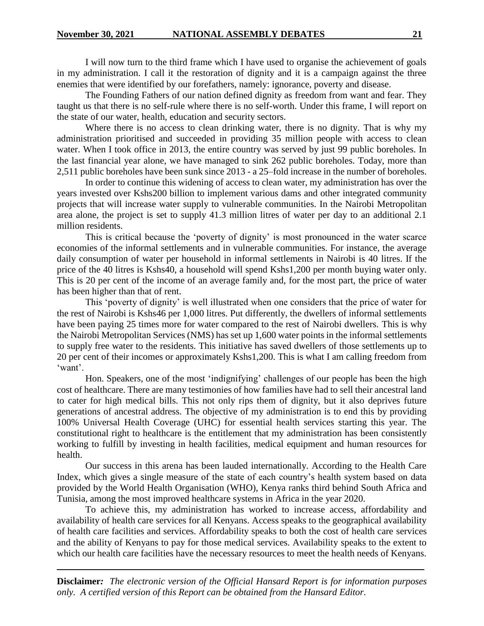I will now turn to the third frame which I have used to organise the achievement of goals in my administration. I call it the restoration of dignity and it is a campaign against the three enemies that were identified by our forefathers, namely: ignorance, poverty and disease.

The Founding Fathers of our nation defined dignity as freedom from want and fear. They taught us that there is no self-rule where there is no self-worth. Under this frame, I will report on the state of our water, health, education and security sectors.

Where there is no access to clean drinking water, there is no dignity. That is why my administration prioritised and succeeded in providing 35 million people with access to clean water. When I took office in 2013, the entire country was served by just 99 public boreholes. In the last financial year alone, we have managed to sink 262 public boreholes. Today, more than 2,511 public boreholes have been sunk since 2013 - a 25–fold increase in the number of boreholes.

In order to continue this widening of access to clean water, my administration has over the years invested over Kshs200 billion to implement various dams and other integrated community projects that will increase water supply to vulnerable communities. In the Nairobi Metropolitan area alone, the project is set to supply 41.3 million litres of water per day to an additional 2.1 million residents.

This is critical because the 'poverty of dignity' is most pronounced in the water scarce economies of the informal settlements and in vulnerable communities. For instance, the average daily consumption of water per household in informal settlements in Nairobi is 40 litres. If the price of the 40 litres is Kshs40, a household will spend Kshs1,200 per month buying water only. This is 20 per cent of the income of an average family and, for the most part, the price of water has been higher than that of rent.

This 'poverty of dignity' is well illustrated when one considers that the price of water for the rest of Nairobi is Kshs46 per 1,000 litres. Put differently, the dwellers of informal settlements have been paying 25 times more for water compared to the rest of Nairobi dwellers. This is why the Nairobi Metropolitan Services (NMS) has set up 1,600 water points in the informal settlements to supply free water to the residents. This initiative has saved dwellers of those settlements up to 20 per cent of their incomes or approximately Kshs1,200. This is what I am calling freedom from 'want'.

Hon. Speakers, one of the most 'indignifying' challenges of our people has been the high cost of healthcare. There are many testimonies of how families have had to sell their ancestral land to cater for high medical bills. This not only rips them of dignity, but it also deprives future generations of ancestral address. The objective of my administration is to end this by providing 100% Universal Health Coverage (UHC) for essential health services starting this year. The constitutional right to healthcare is the entitlement that my administration has been consistently working to fulfill by investing in health facilities, medical equipment and human resources for health.

Our success in this arena has been lauded internationally. According to the Health Care Index, which gives a single measure of the state of each country's health system based on data provided by the World Health Organisation (WHO), Kenya ranks third behind South Africa and Tunisia, among the most improved healthcare systems in Africa in the year 2020.

To achieve this, my administration has worked to increase access, affordability and availability of health care services for all Kenyans. Access speaks to the geographical availability of health care facilities and services. Affordability speaks to both the cost of health care services and the ability of Kenyans to pay for those medical services. Availability speaks to the extent to which our health care facilities have the necessary resources to meet the health needs of Kenyans.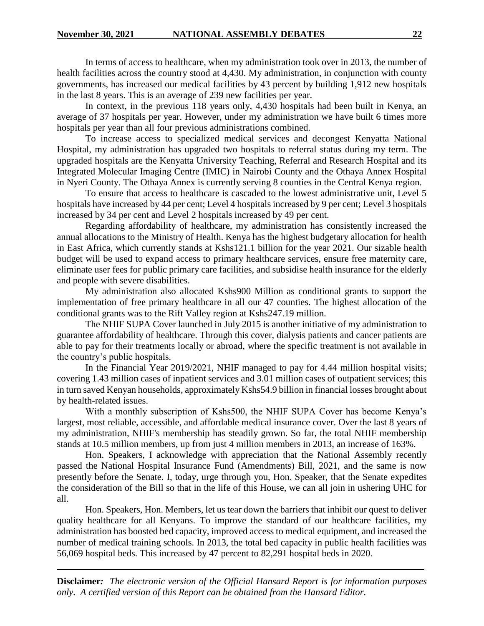In terms of access to healthcare, when my administration took over in 2013, the number of health facilities across the country stood at 4,430. My administration, in conjunction with county governments, has increased our medical facilities by 43 percent by building 1,912 new hospitals in the last 8 years. This is an average of 239 new facilities per year.

In context, in the previous 118 years only, 4,430 hospitals had been built in Kenya, an average of 37 hospitals per year. However, under my administration we have built 6 times more hospitals per year than all four previous administrations combined.

To increase access to specialized medical services and decongest Kenyatta National Hospital, my administration has upgraded two hospitals to referral status during my term. The upgraded hospitals are the Kenyatta University Teaching, Referral and Research Hospital and its Integrated Molecular Imaging Centre (IMIC) in Nairobi County and the Othaya Annex Hospital in Nyeri County. The Othaya Annex is currently serving 8 counties in the Central Kenya region.

To ensure that access to healthcare is cascaded to the lowest administrative unit, Level 5 hospitals have increased by 44 per cent; Level 4 hospitals increased by 9 per cent; Level 3 hospitals increased by 34 per cent and Level 2 hospitals increased by 49 per cent.

Regarding affordability of healthcare, my administration has consistently increased the annual allocations to the Ministry of Health. Kenya has the highest budgetary allocation for health in East Africa, which currently stands at Kshs121.1 billion for the year 2021. Our sizable health budget will be used to expand access to primary healthcare services, ensure free maternity care, eliminate user fees for public primary care facilities, and subsidise health insurance for the elderly and people with severe disabilities.

My administration also allocated Kshs900 Million as conditional grants to support the implementation of free primary healthcare in all our 47 counties. The highest allocation of the conditional grants was to the Rift Valley region at Kshs247.19 million.

The NHIF SUPA Cover launched in July 2015 is another initiative of my administration to guarantee affordability of healthcare. Through this cover, dialysis patients and cancer patients are able to pay for their treatments locally or abroad, where the specific treatment is not available in the country's public hospitals.

In the Financial Year 2019/2021, NHIF managed to pay for 4.44 million hospital visits; covering 1.43 million cases of inpatient services and 3.01 million cases of outpatient services; this in turn saved Kenyan households, approximately Kshs54.9 billion in financial losses brought about by health-related issues.

With a monthly subscription of Kshs500, the NHIF SUPA Cover has become Kenya's largest, most reliable, accessible, and affordable medical insurance cover. Over the last 8 years of my administration, NHIF's membership has steadily grown. So far, the total NHIF membership stands at 10.5 million members, up from just 4 million members in 2013, an increase of 163%.

Hon. Speakers, I acknowledge with appreciation that the National Assembly recently passed the National Hospital Insurance Fund (Amendments) Bill, 2021, and the same is now presently before the Senate. I, today, urge through you, Hon. Speaker, that the Senate expedites the consideration of the Bill so that in the life of this House, we can all join in ushering UHC for all.

Hon. Speakers, Hon. Members, let us tear down the barriers that inhibit our quest to deliver quality healthcare for all Kenyans. To improve the standard of our healthcare facilities, my administration has boosted bed capacity, improved access to medical equipment, and increased the number of medical training schools. In 2013, the total bed capacity in public health facilities was 56,069 hospital beds. This increased by 47 percent to 82,291 hospital beds in 2020.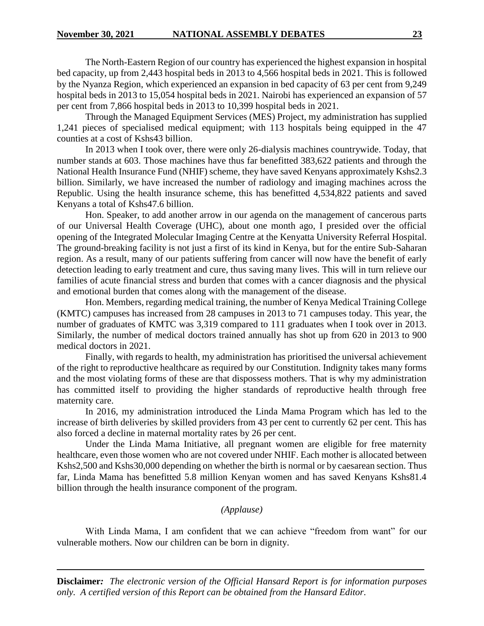The North-Eastern Region of our country has experienced the highest expansion in hospital bed capacity, up from 2,443 hospital beds in 2013 to 4,566 hospital beds in 2021. This is followed by the Nyanza Region, which experienced an expansion in bed capacity of 63 per cent from 9,249 hospital beds in 2013 to 15,054 hospital beds in 2021. Nairobi has experienced an expansion of 57 per cent from 7,866 hospital beds in 2013 to 10,399 hospital beds in 2021.

Through the Managed Equipment Services (MES) Project, my administration has supplied 1,241 pieces of specialised medical equipment; with 113 hospitals being equipped in the 47 counties at a cost of Kshs43 billion.

In 2013 when I took over, there were only 26-dialysis machines countrywide. Today, that number stands at 603. Those machines have thus far benefitted 383,622 patients and through the National Health Insurance Fund (NHIF) scheme, they have saved Kenyans approximately Kshs2.3 billion. Similarly, we have increased the number of radiology and imaging machines across the Republic. Using the health insurance scheme, this has benefitted 4,534,822 patients and saved Kenyans a total of Kshs47.6 billion.

Hon. Speaker, to add another arrow in our agenda on the management of cancerous parts of our Universal Health Coverage (UHC), about one month ago, I presided over the official opening of the Integrated Molecular Imaging Centre at the Kenyatta University Referral Hospital. The ground-breaking facility is not just a first of its kind in Kenya, but for the entire Sub-Saharan region. As a result, many of our patients suffering from cancer will now have the benefit of early detection leading to early treatment and cure, thus saving many lives. This will in turn relieve our families of acute financial stress and burden that comes with a cancer diagnosis and the physical and emotional burden that comes along with the management of the disease.

Hon. Members, regarding medical training, the number of Kenya Medical Training College (KMTC) campuses has increased from 28 campuses in 2013 to 71 campuses today. This year, the number of graduates of KMTC was 3,319 compared to 111 graduates when I took over in 2013. Similarly, the number of medical doctors trained annually has shot up from 620 in 2013 to 900 medical doctors in 2021.

Finally, with regards to health, my administration has prioritised the universal achievement of the right to reproductive healthcare as required by our Constitution. Indignity takes many forms and the most violating forms of these are that dispossess mothers. That is why my administration has committed itself to providing the higher standards of reproductive health through free maternity care.

In 2016, my administration introduced the Linda Mama Program which has led to the increase of birth deliveries by skilled providers from 43 per cent to currently 62 per cent. This has also forced a decline in maternal mortality rates by 26 per cent.

Under the Linda Mama Initiative, all pregnant women are eligible for free maternity healthcare, even those women who are not covered under NHIF. Each mother is allocated between Kshs2,500 and Kshs30,000 depending on whether the birth is normal or by caesarean section. Thus far, Linda Mama has benefitted 5.8 million Kenyan women and has saved Kenyans Kshs81.4 billion through the health insurance component of the program.

## *(Applause)*

With Linda Mama, I am confident that we can achieve "freedom from want" for our vulnerable mothers. Now our children can be born in dignity.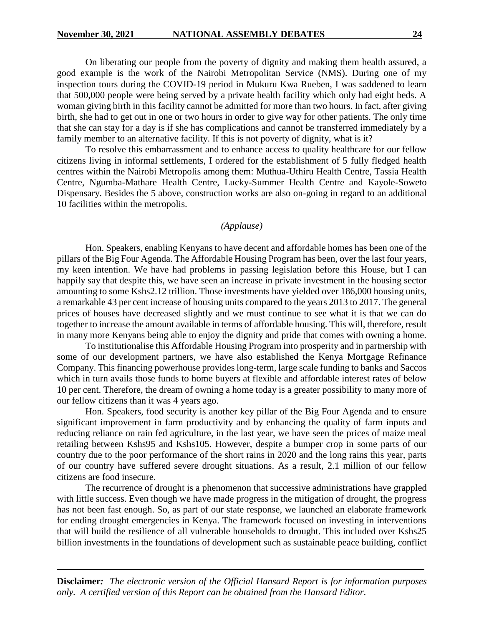On liberating our people from the poverty of dignity and making them health assured, a good example is the work of the Nairobi Metropolitan Service (NMS). During one of my inspection tours during the COVID-19 period in Mukuru Kwa Rueben, I was saddened to learn that 500,000 people were being served by a private health facility which only had eight beds. A woman giving birth in this facility cannot be admitted for more than two hours. In fact, after giving birth, she had to get out in one or two hours in order to give way for other patients. The only time that she can stay for a day is if she has complications and cannot be transferred immediately by a family member to an alternative facility. If this is not poverty of dignity, what is it?

To resolve this embarrassment and to enhance access to quality healthcare for our fellow citizens living in informal settlements, I ordered for the establishment of 5 fully fledged health centres within the Nairobi Metropolis among them: Muthua-Uthiru Health Centre, Tassia Health Centre, Ngumba-Mathare Health Centre, Lucky-Summer Health Centre and Kayole-Soweto Dispensary. Besides the 5 above, construction works are also on-going in regard to an additional 10 facilities within the metropolis.

#### *(Applause)*

Hon. Speakers, enabling Kenyans to have decent and affordable homes has been one of the pillars of the Big Four Agenda. The Affordable Housing Program has been, over the last four years, my keen intention. We have had problems in passing legislation before this House, but I can happily say that despite this, we have seen an increase in private investment in the housing sector amounting to some Kshs2.12 trillion. Those investments have yielded over 186,000 housing units, a remarkable 43 per cent increase of housing units compared to the years 2013 to 2017. The general prices of houses have decreased slightly and we must continue to see what it is that we can do together to increase the amount available in terms of affordable housing. This will, therefore, result in many more Kenyans being able to enjoy the dignity and pride that comes with owning a home.

To institutionalise this Affordable Housing Program into prosperity and in partnership with some of our development partners, we have also established the Kenya Mortgage Refinance Company. This financing powerhouse provides long-term, large scale funding to banks and Saccos which in turn avails those funds to home buyers at flexible and affordable interest rates of below 10 per cent. Therefore, the dream of owning a home today is a greater possibility to many more of our fellow citizens than it was 4 years ago.

Hon. Speakers, food security is another key pillar of the Big Four Agenda and to ensure significant improvement in farm productivity and by enhancing the quality of farm inputs and reducing reliance on rain fed agriculture, in the last year, we have seen the prices of maize meal retailing between Kshs95 and Kshs105. However, despite a bumper crop in some parts of our country due to the poor performance of the short rains in 2020 and the long rains this year, parts of our country have suffered severe drought situations. As a result, 2.1 million of our fellow citizens are food insecure.

The recurrence of drought is a phenomenon that successive administrations have grappled with little success. Even though we have made progress in the mitigation of drought, the progress has not been fast enough. So, as part of our state response, we launched an elaborate framework for ending drought emergencies in Kenya. The framework focused on investing in interventions that will build the resilience of all vulnerable households to drought. This included over Kshs25 billion investments in the foundations of development such as sustainable peace building, conflict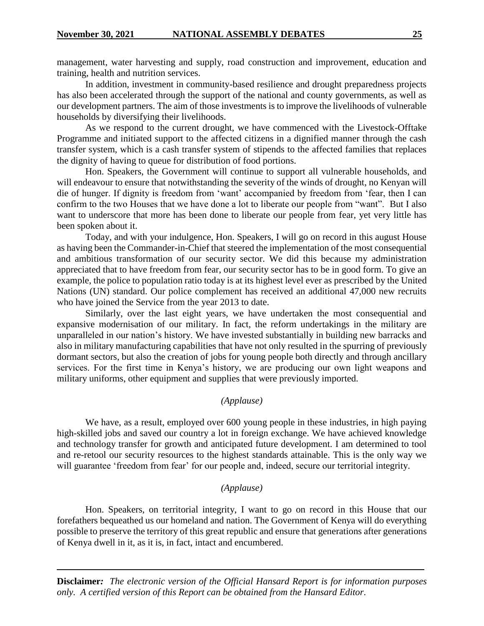management, water harvesting and supply, road construction and improvement, education and training, health and nutrition services.

In addition, investment in community-based resilience and drought preparedness projects has also been accelerated through the support of the national and county governments, as well as our development partners. The aim of those investments is to improve the livelihoods of vulnerable households by diversifying their livelihoods.

As we respond to the current drought, we have commenced with the Livestock-Offtake Programme and initiated support to the affected citizens in a dignified manner through the cash transfer system, which is a cash transfer system of stipends to the affected families that replaces the dignity of having to queue for distribution of food portions.

Hon. Speakers, the Government will continue to support all vulnerable households, and will endeavour to ensure that notwithstanding the severity of the winds of drought, no Kenyan will die of hunger. If dignity is freedom from 'want' accompanied by freedom from 'fear, then I can confirm to the two Houses that we have done a lot to liberate our people from "want". But I also want to underscore that more has been done to liberate our people from fear, yet very little has been spoken about it.

Today, and with your indulgence, Hon. Speakers, I will go on record in this august House as having been the Commander-in-Chief that steered the implementation of the most consequential and ambitious transformation of our security sector. We did this because my administration appreciated that to have freedom from fear, our security sector has to be in good form. To give an example, the police to population ratio today is at its highest level ever as prescribed by the United Nations (UN) standard. Our police complement has received an additional 47,000 new recruits who have joined the Service from the year 2013 to date.

Similarly, over the last eight years, we have undertaken the most consequential and expansive modernisation of our military. In fact, the reform undertakings in the military are unparalleled in our nation's history. We have invested substantially in building new barracks and also in military manufacturing capabilities that have not only resulted in the spurring of previously dormant sectors, but also the creation of jobs for young people both directly and through ancillary services. For the first time in Kenya's history, we are producing our own light weapons and military uniforms, other equipment and supplies that were previously imported.

# *(Applause)*

We have, as a result, employed over 600 young people in these industries, in high paying high-skilled jobs and saved our country a lot in foreign exchange. We have achieved knowledge and technology transfer for growth and anticipated future development. I am determined to tool and re-retool our security resources to the highest standards attainable. This is the only way we will guarantee 'freedom from fear' for our people and, indeed, secure our territorial integrity.

#### *(Applause)*

Hon. Speakers, on territorial integrity, I want to go on record in this House that our forefathers bequeathed us our homeland and nation. The Government of Kenya will do everything possible to preserve the territory of this great republic and ensure that generations after generations of Kenya dwell in it, as it is, in fact, intact and encumbered.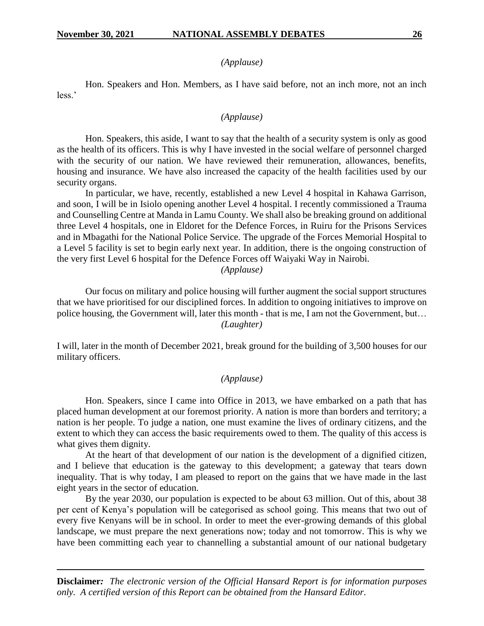*(Applause)*

Hon. Speakers and Hon. Members, as I have said before, not an inch more, not an inch less.'

#### *(Applause)*

Hon. Speakers, this aside, I want to say that the health of a security system is only as good as the health of its officers. This is why I have invested in the social welfare of personnel charged with the security of our nation. We have reviewed their remuneration, allowances, benefits, housing and insurance. We have also increased the capacity of the health facilities used by our security organs.

In particular, we have, recently, established a new Level 4 hospital in Kahawa Garrison, and soon, I will be in Isiolo opening another Level 4 hospital. I recently commissioned a Trauma and Counselling Centre at Manda in Lamu County. We shall also be breaking ground on additional three Level 4 hospitals, one in Eldoret for the Defence Forces, in Ruiru for the Prisons Services and in Mbagathi for the National Police Service. The upgrade of the Forces Memorial Hospital to a Level 5 facility is set to begin early next year. In addition, there is the ongoing construction of the very first Level 6 hospital for the Defence Forces off Waiyaki Way in Nairobi.

### *(Applause)*

Our focus on military and police housing will further augment the social support structures that we have prioritised for our disciplined forces. In addition to ongoing initiatives to improve on police housing, the Government will, later this month - that is me, I am not the Government, but… *(Laughter)*

I will, later in the month of December 2021, break ground for the building of 3,500 houses for our military officers.

# *(Applause)*

Hon. Speakers, since I came into Office in 2013, we have embarked on a path that has placed human development at our foremost priority. A nation is more than borders and territory; a nation is her people. To judge a nation, one must examine the lives of ordinary citizens, and the extent to which they can access the basic requirements owed to them. The quality of this access is what gives them dignity.

At the heart of that development of our nation is the development of a dignified citizen, and I believe that education is the gateway to this development; a gateway that tears down inequality. That is why today, I am pleased to report on the gains that we have made in the last eight years in the sector of education.

By the year 2030, our population is expected to be about 63 million. Out of this, about 38 per cent of Kenya's population will be categorised as school going. This means that two out of every five Kenyans will be in school. In order to meet the ever-growing demands of this global landscape, we must prepare the next generations now; today and not tomorrow. This is why we have been committing each year to channelling a substantial amount of our national budgetary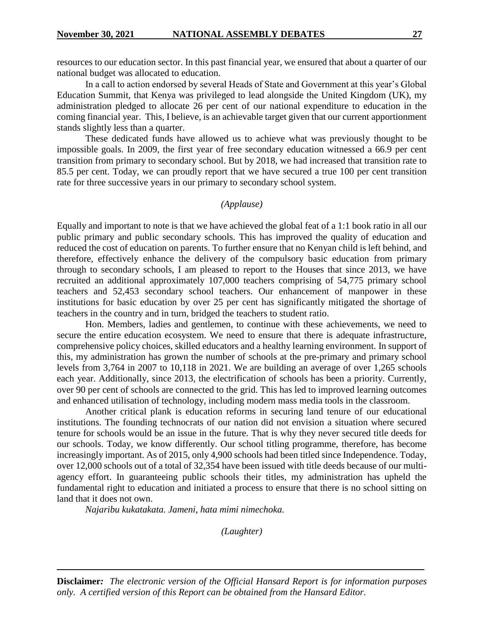resources to our education sector. In this past financial year, we ensured that about a quarter of our national budget was allocated to education.

In a call to action endorsed by several Heads of State and Government at this year's Global Education Summit, that Kenya was privileged to lead alongside the United Kingdom (UK), my administration pledged to allocate 26 per cent of our national expenditure to education in the coming financial year. This, I believe, is an achievable target given that our current apportionment stands slightly less than a quarter.

These dedicated funds have allowed us to achieve what was previously thought to be impossible goals. In 2009, the first year of free secondary education witnessed a 66.9 per cent transition from primary to secondary school. But by 2018, we had increased that transition rate to 85.5 per cent. Today, we can proudly report that we have secured a true 100 per cent transition rate for three successive years in our primary to secondary school system.

#### *(Applause)*

Equally and important to note is that we have achieved the global feat of a 1:1 book ratio in all our public primary and public secondary schools. This has improved the quality of education and reduced the cost of education on parents. To further ensure that no Kenyan child is left behind, and therefore, effectively enhance the delivery of the compulsory basic education from primary through to secondary schools, I am pleased to report to the Houses that since 2013, we have recruited an additional approximately 107,000 teachers comprising of 54,775 primary school teachers and 52,453 secondary school teachers. Our enhancement of manpower in these institutions for basic education by over 25 per cent has significantly mitigated the shortage of teachers in the country and in turn, bridged the teachers to student ratio.

Hon. Members, ladies and gentlemen, to continue with these achievements, we need to secure the entire education ecosystem. We need to ensure that there is adequate infrastructure, comprehensive policy choices, skilled educators and a healthy learning environment. In support of this, my administration has grown the number of schools at the pre-primary and primary school levels from 3,764 in 2007 to 10,118 in 2021. We are building an average of over 1,265 schools each year. Additionally, since 2013, the electrification of schools has been a priority. Currently, over 90 per cent of schools are connected to the grid. This has led to improved learning outcomes and enhanced utilisation of technology, including modern mass media tools in the classroom.

Another critical plank is education reforms in securing land tenure of our educational institutions. The founding technocrats of our nation did not envision a situation where secured tenure for schools would be an issue in the future. That is why they never secured title deeds for our schools. Today, we know differently. Our school titling programme, therefore, has become increasingly important. As of 2015, only 4,900 schools had been titled since Independence. Today, over 12,000 schools out of a total of 32,354 have been issued with title deeds because of our multiagency effort. In guaranteeing public schools their titles, my administration has upheld the fundamental right to education and initiated a process to ensure that there is no school sitting on land that it does not own.

*Najaribu kukatakata. Jameni, hata mimi nimechoka.*

*(Laughter)*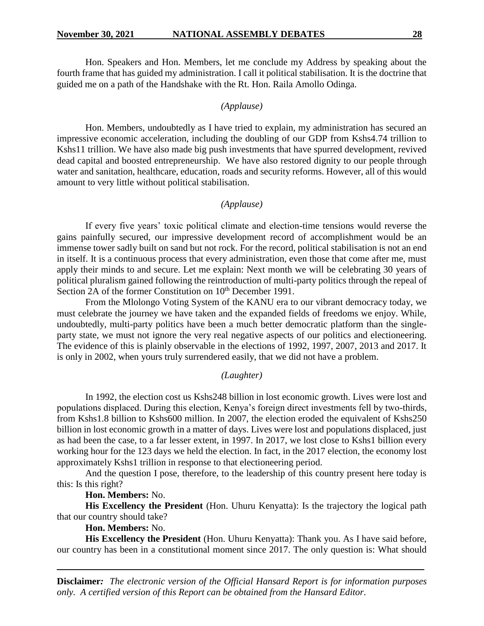Hon. Speakers and Hon. Members, let me conclude my Address by speaking about the fourth frame that has guided my administration. I call it political stabilisation. It is the doctrine that guided me on a path of the Handshake with the Rt. Hon. Raila Amollo Odinga.

#### *(Applause)*

Hon. Members, undoubtedly as I have tried to explain, my administration has secured an impressive economic acceleration, including the doubling of our GDP from Kshs4.74 trillion to Kshs11 trillion. We have also made big push investments that have spurred development, revived dead capital and boosted entrepreneurship. We have also restored dignity to our people through water and sanitation, healthcare, education, roads and security reforms. However, all of this would amount to very little without political stabilisation.

#### *(Applause)*

If every five years' toxic political climate and election-time tensions would reverse the gains painfully secured, our impressive development record of accomplishment would be an immense tower sadly built on sand but not rock. For the record, political stabilisation is not an end in itself. It is a continuous process that every administration, even those that come after me, must apply their minds to and secure. Let me explain: Next month we will be celebrating 30 years of political pluralism gained following the reintroduction of multi-party politics through the repeal of Section 2A of the former Constitution on  $10^{th}$  December 1991.

From the Mlolongo Voting System of the KANU era to our vibrant democracy today, we must celebrate the journey we have taken and the expanded fields of freedoms we enjoy. While, undoubtedly, multi-party politics have been a much better democratic platform than the singleparty state, we must not ignore the very real negative aspects of our politics and electioneering. The evidence of this is plainly observable in the elections of 1992, 1997, 2007, 2013 and 2017. It is only in 2002, when yours truly surrendered easily, that we did not have a problem.

#### *(Laughter)*

In 1992, the election cost us Kshs248 billion in lost economic growth. Lives were lost and populations displaced. During this election, Kenya's foreign direct investments fell by two-thirds, from Kshs1.8 billion to Kshs600 million. In 2007, the election eroded the equivalent of Kshs250 billion in lost economic growth in a matter of days. Lives were lost and populations displaced, just as had been the case, to a far lesser extent, in 1997. In 2017, we lost close to Kshs1 billion every working hour for the 123 days we held the election. In fact, in the 2017 election, the economy lost approximately Kshs1 trillion in response to that electioneering period.

And the question I pose, therefore, to the leadership of this country present here today is this: Is this right?

#### **Hon. Members:** No.

**His Excellency the President** (Hon. Uhuru Kenyatta): Is the trajectory the logical path that our country should take?

# **Hon. Members:** No.

**His Excellency the President** (Hon. Uhuru Kenyatta): Thank you. As I have said before, our country has been in a constitutional moment since 2017. The only question is: What should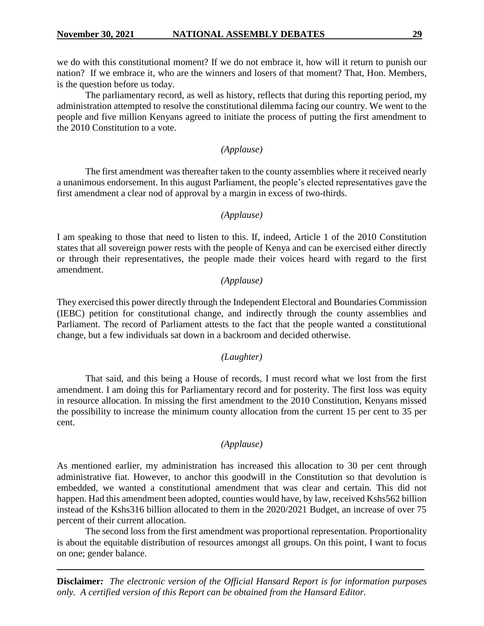we do with this constitutional moment? If we do not embrace it, how will it return to punish our nation? If we embrace it, who are the winners and losers of that moment? That, Hon. Members, is the question before us today.

The parliamentary record, as well as history, reflects that during this reporting period, my administration attempted to resolve the constitutional dilemma facing our country. We went to the people and five million Kenyans agreed to initiate the process of putting the first amendment to the 2010 Constitution to a vote.

# *(Applause)*

The first amendment was thereafter taken to the county assemblies where it received nearly a unanimous endorsement. In this august Parliament, the people's elected representatives gave the first amendment a clear nod of approval by a margin in excess of two-thirds.

# *(Applause)*

I am speaking to those that need to listen to this. If, indeed, Article 1 of the 2010 Constitution states that all sovereign power rests with the people of Kenya and can be exercised either directly or through their representatives, the people made their voices heard with regard to the first amendment.

# *(Applause)*

They exercised this power directly through the Independent Electoral and Boundaries Commission (IEBC) petition for constitutional change, and indirectly through the county assemblies and Parliament. The record of Parliament attests to the fact that the people wanted a constitutional change, but a few individuals sat down in a backroom and decided otherwise.

# *(Laughter)*

That said, and this being a House of records, I must record what we lost from the first amendment. I am doing this for Parliamentary record and for posterity. The first loss was equity in resource allocation. In missing the first amendment to the 2010 Constitution, Kenyans missed the possibility to increase the minimum county allocation from the current 15 per cent to 35 per cent.

# *(Applause)*

As mentioned earlier, my administration has increased this allocation to 30 per cent through administrative fiat. However, to anchor this goodwill in the Constitution so that devolution is embedded, we wanted a constitutional amendment that was clear and certain. This did not happen. Had this amendment been adopted, counties would have, by law, received Kshs562 billion instead of the Kshs316 billion allocated to them in the 2020/2021 Budget, an increase of over 75 percent of their current allocation.

The second loss from the first amendment was proportional representation. Proportionality is about the equitable distribution of resources amongst all groups. On this point, I want to focus on one; gender balance.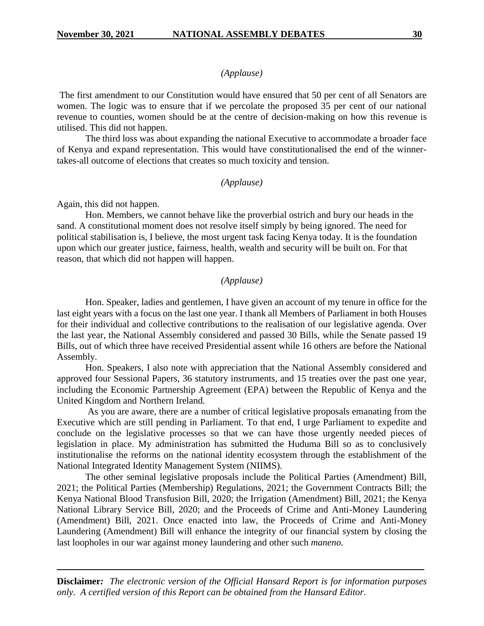# *(Applause)*

The first amendment to our Constitution would have ensured that 50 per cent of all Senators are women. The logic was to ensure that if we percolate the proposed 35 per cent of our national revenue to counties, women should be at the centre of decision-making on how this revenue is utilised. This did not happen.

The third loss was about expanding the national Executive to accommodate a broader face of Kenya and expand representation. This would have constitutionalised the end of the winnertakes-all outcome of elections that creates so much toxicity and tension.

#### *(Applause)*

Again, this did not happen.

Hon. Members, we cannot behave like the proverbial ostrich and bury our heads in the sand. A constitutional moment does not resolve itself simply by being ignored. The need for political stabilisation is, I believe, the most urgent task facing Kenya today. It is the foundation upon which our greater justice, fairness, health, wealth and security will be built on. For that reason, that which did not happen will happen.

#### *(Applause)*

Hon. Speaker, ladies and gentlemen, I have given an account of my tenure in office for the last eight years with a focus on the last one year. I thank all Members of Parliament in both Houses for their individual and collective contributions to the realisation of our legislative agenda. Over the last year, the National Assembly considered and passed 30 Bills, while the Senate passed 19 Bills, out of which three have received Presidential assent while 16 others are before the National Assembly.

Hon. Speakers, I also note with appreciation that the National Assembly considered and approved four Sessional Papers, 36 statutory instruments, and 15 treaties over the past one year, including the Economic Partnership Agreement (EPA) between the Republic of Kenya and the United Kingdom and Northern Ireland.

As you are aware, there are a number of critical legislative proposals emanating from the Executive which are still pending in Parliament. To that end, I urge Parliament to expedite and conclude on the legislative processes so that we can have those urgently needed pieces of legislation in place. My administration has submitted the Huduma Bill so as to conclusively institutionalise the reforms on the national identity ecosystem through the establishment of the National Integrated Identity Management System (NIIMS).

The other seminal legislative proposals include the Political Parties (Amendment) Bill, 2021; the Political Parties (Membership) Regulations, 2021; the Government Contracts Bill; the Kenya National Blood Transfusion Bill, 2020; the Irrigation (Amendment) Bill, 2021; the Kenya National Library Service Bill, 2020; and the Proceeds of Crime and Anti-Money Laundering (Amendment) Bill, 2021. Once enacted into law, the Proceeds of Crime and Anti-Money Laundering (Amendment) Bill will enhance the integrity of our financial system by closing the last loopholes in our war against money laundering and other such *maneno.*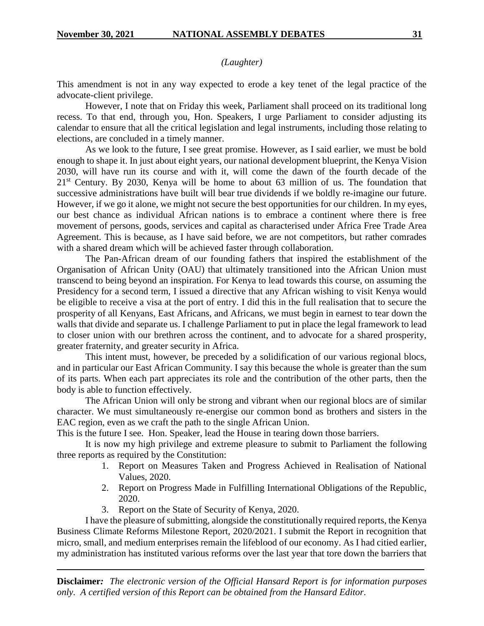*(Laughter)*

This amendment is not in any way expected to erode a key tenet of the legal practice of the advocate-client privilege.

However, I note that on Friday this week, Parliament shall proceed on its traditional long recess. To that end, through you, Hon. Speakers, I urge Parliament to consider adjusting its calendar to ensure that all the critical legislation and legal instruments, including those relating to elections, are concluded in a timely manner.

As we look to the future, I see great promise. However, as I said earlier, we must be bold enough to shape it. In just about eight years, our national development blueprint, the Kenya Vision 2030, will have run its course and with it, will come the dawn of the fourth decade of the  $21<sup>st</sup>$  Century. By 2030, Kenya will be home to about 63 million of us. The foundation that successive administrations have built will bear true dividends if we boldly re-imagine our future. However, if we go it alone, we might not secure the best opportunities for our children. In my eyes, our best chance as individual African nations is to embrace a continent where there is free movement of persons, goods, services and capital as characterised under Africa Free Trade Area Agreement. This is because, as I have said before, we are not competitors, but rather comrades with a shared dream which will be achieved faster through collaboration.

The Pan-African dream of our founding fathers that inspired the establishment of the Organisation of African Unity (OAU) that ultimately transitioned into the African Union must transcend to being beyond an inspiration. For Kenya to lead towards this course, on assuming the Presidency for a second term, I issued a directive that any African wishing to visit Kenya would be eligible to receive a visa at the port of entry. I did this in the full realisation that to secure the prosperity of all Kenyans, East Africans, and Africans, we must begin in earnest to tear down the walls that divide and separate us. I challenge Parliament to put in place the legal framework to lead to closer union with our brethren across the continent, and to advocate for a shared prosperity, greater fraternity, and greater security in Africa.

This intent must, however, be preceded by a solidification of our various regional blocs, and in particular our East African Community. I say this because the whole is greater than the sum of its parts. When each part appreciates its role and the contribution of the other parts, then the body is able to function effectively.

The African Union will only be strong and vibrant when our regional blocs are of similar character. We must simultaneously re-energise our common bond as brothers and sisters in the EAC region, even as we craft the path to the single African Union.

This is the future I see. Hon. Speaker, lead the House in tearing down those barriers.

It is now my high privilege and extreme pleasure to submit to Parliament the following three reports as required by the Constitution:

- 1. Report on Measures Taken and Progress Achieved in Realisation of National Values, 2020.
- 2. Report on Progress Made in Fulfilling International Obligations of the Republic, 2020.
- 3. Report on the State of Security of Kenya, 2020.

I have the pleasure of submitting, alongside the constitutionally required reports, the Kenya Business Climate Reforms Milestone Report, 2020/2021. I submit the Report in recognition that micro, small, and medium enterprises remain the lifeblood of our economy. As I had citied earlier, my administration has instituted various reforms over the last year that tore down the barriers that